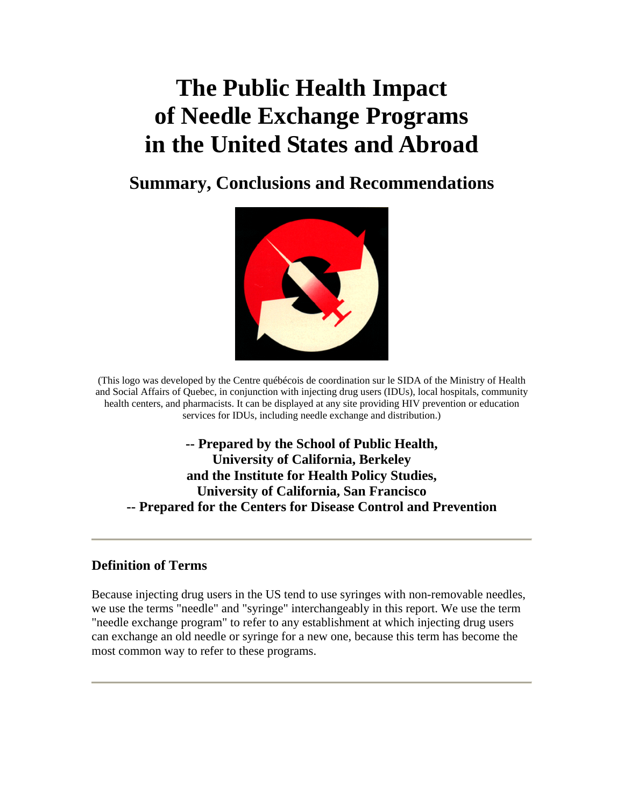# **The Public Health Impact of Needle Exchange Programs in the United States and Abroad**

# **Summary, Conclusions and Recommendations**



(This logo was developed by the Centre québécois de coordination sur le SIDA of the Ministry of Health and Social Affairs of Quebec, in conjunction with injecting drug users (IDUs), local hospitals, community health centers, and pharmacists. It can be displayed at any site providing HIV prevention or education services for IDUs, including needle exchange and distribution.)

**-- Prepared by the School of Public Health, University of California, Berkeley and the Institute for Health Policy Studies, University of California, San Francisco -- Prepared for the Centers for Disease Control and Prevention** 

#### **Definition of Terms**

Because injecting drug users in the US tend to use syringes with non-removable needles, we use the terms "needle" and "syringe" interchangeably in this report. We use the term "needle exchange program" to refer to any establishment at which injecting drug users can exchange an old needle or syringe for a new one, because this term has become the most common way to refer to these programs.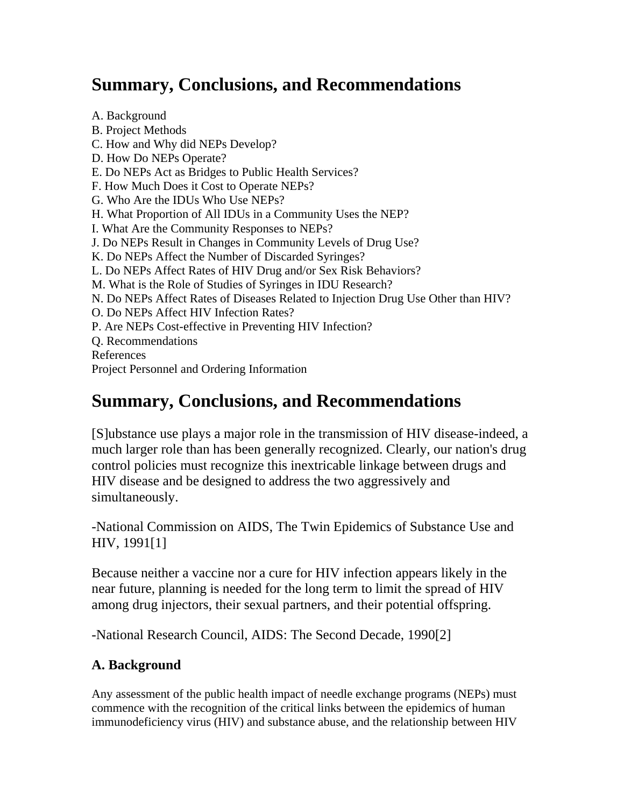# **Summary, Conclusions, and Recommendations**

A. Background B. Project Methods C. How and Why did NEPs Develop? D. How Do NEPs Operate? E. Do NEPs Act as Bridges to Public Health Services? F. How Much Does it Cost to Operate NEPs? G. Who Are the IDUs Who Use NEPs? H. What Proportion of All IDUs in a Community Uses the NEP? I. What Are the Community Responses to NEPs? J. Do NEPs Result in Changes in Community Levels of Drug Use? K. Do NEPs Affect the Number of Discarded Syringes? L. Do NEPs Affect Rates of HIV Drug and/or Sex Risk Behaviors? M. What is the Role of Studies of Syringes in IDU Research? N. Do NEPs Affect Rates of Diseases Related to Injection Drug Use Other than HIV? O. Do NEPs Affect HIV Infection Rates? P. Are NEPs Cost-effective in Preventing HIV Infection? Q. Recommendations References Project Personnel and Ordering Information

# **Summary, Conclusions, and Recommendations**

[S]ubstance use plays a major role in the transmission of HIV disease-indeed, a much larger role than has been generally recognized. Clearly, our nation's drug control policies must recognize this inextricable linkage between drugs and HIV disease and be designed to address the two aggressively and simultaneously.

-National Commission on AIDS, The Twin Epidemics of Substance Use and HIV, 1991[1]

Because neither a vaccine nor a cure for HIV infection appears likely in the near future, planning is needed for the long term to limit the spread of HIV among drug injectors, their sexual partners, and their potential offspring.

-National Research Council, AIDS: The Second Decade, 1990[2]

# **A. Background**

Any assessment of the public health impact of needle exchange programs (NEPs) must commence with the recognition of the critical links between the epidemics of human immunodeficiency virus (HIV) and substance abuse, and the relationship between HIV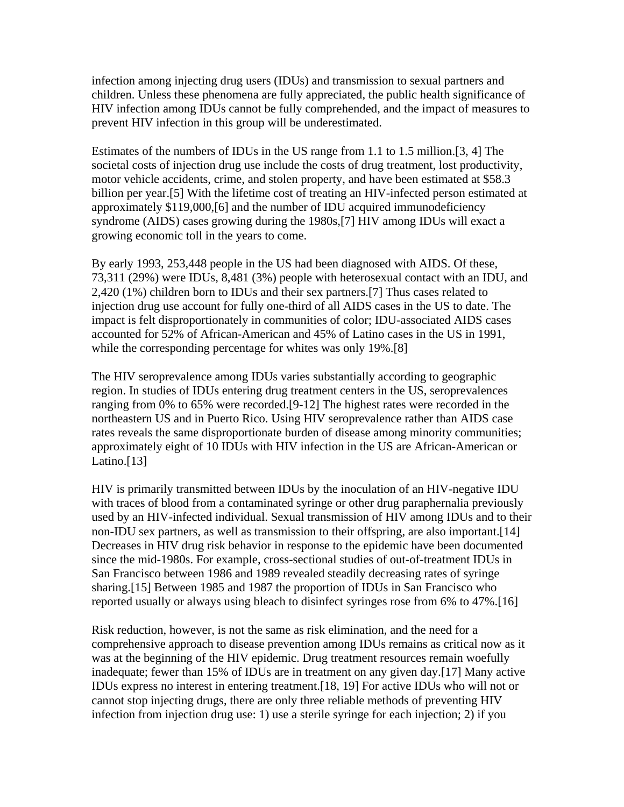infection among injecting drug users (IDUs) and transmission to sexual partners and children. Unless these phenomena are fully appreciated, the public health significance of HIV infection among IDUs cannot be fully comprehended, and the impact of measures to prevent HIV infection in this group will be underestimated.

Estimates of the numbers of IDUs in the US range from 1.1 to 1.5 million.[3, 4] The societal costs of injection drug use include the costs of drug treatment, lost productivity, motor vehicle accidents, crime, and stolen property, and have been estimated at \$58.3 billion per year.[5] With the lifetime cost of treating an HIV-infected person estimated at approximately \$119,000,[6] and the number of IDU acquired immunodeficiency syndrome (AIDS) cases growing during the 1980s,[7] HIV among IDUs will exact a growing economic toll in the years to come.

By early 1993, 253,448 people in the US had been diagnosed with AIDS. Of these, 73,311 (29%) were IDUs, 8,481 (3%) people with heterosexual contact with an IDU, and 2,420 (1%) children born to IDUs and their sex partners.[7] Thus cases related to injection drug use account for fully one-third of all AIDS cases in the US to date. The impact is felt disproportionately in communities of color; IDU-associated AIDS cases accounted for 52% of African-American and 45% of Latino cases in the US in 1991, while the corresponding percentage for whites was only 19%.<sup>[8]</sup>

The HIV seroprevalence among IDUs varies substantially according to geographic region. In studies of IDUs entering drug treatment centers in the US, seroprevalences ranging from 0% to 65% were recorded.[9-12] The highest rates were recorded in the northeastern US and in Puerto Rico. Using HIV seroprevalence rather than AIDS case rates reveals the same disproportionate burden of disease among minority communities; approximately eight of 10 IDUs with HIV infection in the US are African-American or Latino.<sup>[13]</sup>

HIV is primarily transmitted between IDUs by the inoculation of an HIV-negative IDU with traces of blood from a contaminated syringe or other drug paraphernalia previously used by an HIV-infected individual. Sexual transmission of HIV among IDUs and to their non-IDU sex partners, as well as transmission to their offspring, are also important.[14] Decreases in HIV drug risk behavior in response to the epidemic have been documented since the mid-1980s. For example, cross-sectional studies of out-of-treatment IDUs in San Francisco between 1986 and 1989 revealed steadily decreasing rates of syringe sharing.[15] Between 1985 and 1987 the proportion of IDUs in San Francisco who reported usually or always using bleach to disinfect syringes rose from 6% to 47%.[16]

Risk reduction, however, is not the same as risk elimination, and the need for a comprehensive approach to disease prevention among IDUs remains as critical now as it was at the beginning of the HIV epidemic. Drug treatment resources remain woefully inadequate; fewer than 15% of IDUs are in treatment on any given day.[17] Many active IDUs express no interest in entering treatment.[18, 19] For active IDUs who will not or cannot stop injecting drugs, there are only three reliable methods of preventing HIV infection from injection drug use: 1) use a sterile syringe for each injection; 2) if you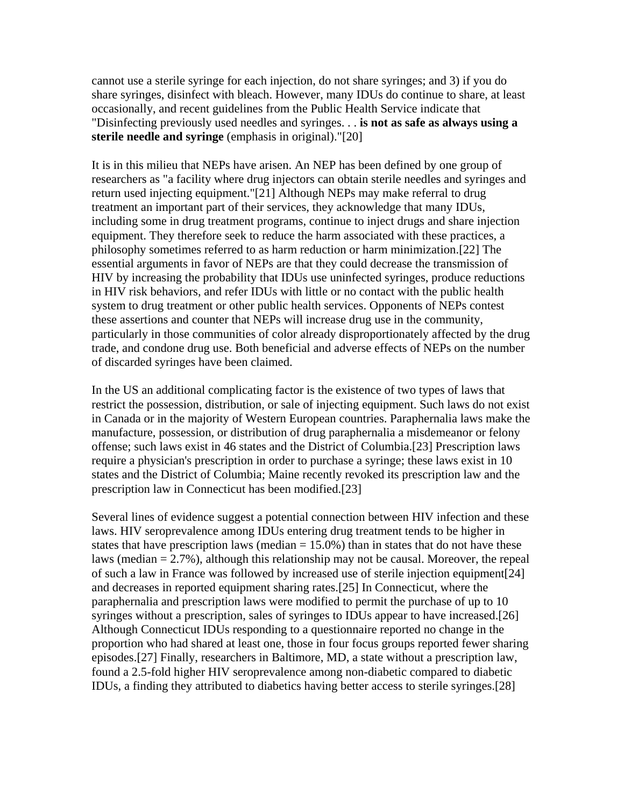cannot use a sterile syringe for each injection, do not share syringes; and 3) if you do share syringes, disinfect with bleach. However, many IDUs do continue to share, at least occasionally, and recent guidelines from the Public Health Service indicate that "Disinfecting previously used needles and syringes. . . **is not as safe as always using a sterile needle and syringe** (emphasis in original)."[20]

It is in this milieu that NEPs have arisen. An NEP has been defined by one group of researchers as "a facility where drug injectors can obtain sterile needles and syringes and return used injecting equipment."[21] Although NEPs may make referral to drug treatment an important part of their services, they acknowledge that many IDUs, including some in drug treatment programs, continue to inject drugs and share injection equipment. They therefore seek to reduce the harm associated with these practices, a philosophy sometimes referred to as harm reduction or harm minimization.[22] The essential arguments in favor of NEPs are that they could decrease the transmission of HIV by increasing the probability that IDUs use uninfected syringes, produce reductions in HIV risk behaviors, and refer IDUs with little or no contact with the public health system to drug treatment or other public health services. Opponents of NEPs contest these assertions and counter that NEPs will increase drug use in the community, particularly in those communities of color already disproportionately affected by the drug trade, and condone drug use. Both beneficial and adverse effects of NEPs on the number of discarded syringes have been claimed.

In the US an additional complicating factor is the existence of two types of laws that restrict the possession, distribution, or sale of injecting equipment. Such laws do not exist in Canada or in the majority of Western European countries. Paraphernalia laws make the manufacture, possession, or distribution of drug paraphernalia a misdemeanor or felony offense; such laws exist in 46 states and the District of Columbia.[23] Prescription laws require a physician's prescription in order to purchase a syringe; these laws exist in 10 states and the District of Columbia; Maine recently revoked its prescription law and the prescription law in Connecticut has been modified.[23]

Several lines of evidence suggest a potential connection between HIV infection and these laws. HIV seroprevalence among IDUs entering drug treatment tends to be higher in states that have prescription laws (median  $= 15.0\%$ ) than in states that do not have these laws (median  $= 2.7\%$ ), although this relationship may not be causal. Moreover, the repeal of such a law in France was followed by increased use of sterile injection equipment[24] and decreases in reported equipment sharing rates.[25] In Connecticut, where the paraphernalia and prescription laws were modified to permit the purchase of up to 10 syringes without a prescription, sales of syringes to IDUs appear to have increased.[26] Although Connecticut IDUs responding to a questionnaire reported no change in the proportion who had shared at least one, those in four focus groups reported fewer sharing episodes.[27] Finally, researchers in Baltimore, MD, a state without a prescription law, found a 2.5-fold higher HIV seroprevalence among non-diabetic compared to diabetic IDUs, a finding they attributed to diabetics having better access to sterile syringes.[28]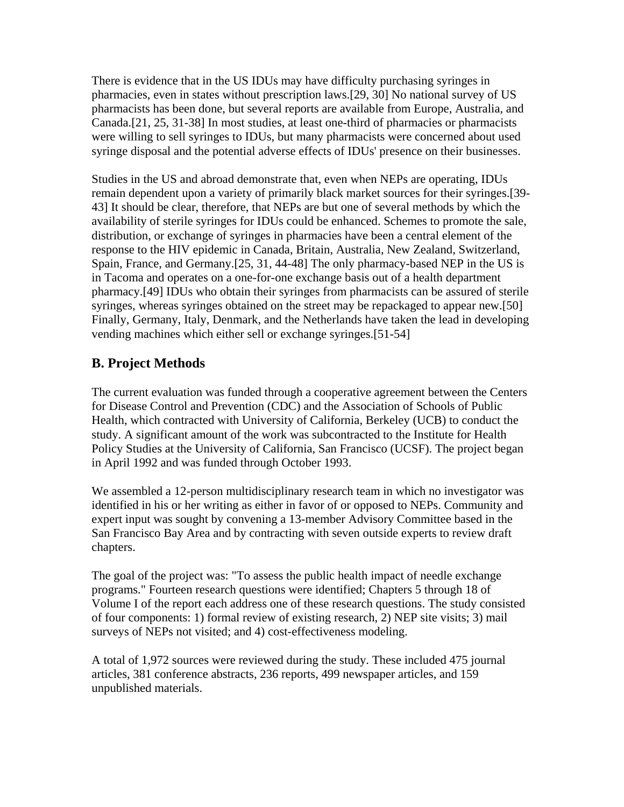There is evidence that in the US IDUs may have difficulty purchasing syringes in pharmacies, even in states without prescription laws.[29, 30] No national survey of US pharmacists has been done, but several reports are available from Europe, Australia, and Canada.[21, 25, 31-38] In most studies, at least one-third of pharmacies or pharmacists were willing to sell syringes to IDUs, but many pharmacists were concerned about used syringe disposal and the potential adverse effects of IDUs' presence on their businesses.

Studies in the US and abroad demonstrate that, even when NEPs are operating, IDUs remain dependent upon a variety of primarily black market sources for their syringes.[39- 43] It should be clear, therefore, that NEPs are but one of several methods by which the availability of sterile syringes for IDUs could be enhanced. Schemes to promote the sale, distribution, or exchange of syringes in pharmacies have been a central element of the response to the HIV epidemic in Canada, Britain, Australia, New Zealand, Switzerland, Spain, France, and Germany.[25, 31, 44-48] The only pharmacy-based NEP in the US is in Tacoma and operates on a one-for-one exchange basis out of a health department pharmacy.[49] IDUs who obtain their syringes from pharmacists can be assured of sterile syringes, whereas syringes obtained on the street may be repackaged to appear new.[50] Finally, Germany, Italy, Denmark, and the Netherlands have taken the lead in developing vending machines which either sell or exchange syringes.[51-54]

# **B. Project Methods**

The current evaluation was funded through a cooperative agreement between the Centers for Disease Control and Prevention (CDC) and the Association of Schools of Public Health, which contracted with University of California, Berkeley (UCB) to conduct the study. A significant amount of the work was subcontracted to the Institute for Health Policy Studies at the University of California, San Francisco (UCSF). The project began in April 1992 and was funded through October 1993.

We assembled a 12-person multidisciplinary research team in which no investigator was identified in his or her writing as either in favor of or opposed to NEPs. Community and expert input was sought by convening a 13-member Advisory Committee based in the San Francisco Bay Area and by contracting with seven outside experts to review draft chapters.

The goal of the project was: "To assess the public health impact of needle exchange programs." Fourteen research questions were identified; Chapters 5 through 18 of Volume I of the report each address one of these research questions. The study consisted of four components: 1) formal review of existing research, 2) NEP site visits; 3) mail surveys of NEPs not visited; and 4) cost-effectiveness modeling.

A total of 1,972 sources were reviewed during the study. These included 475 journal articles, 381 conference abstracts, 236 reports, 499 newspaper articles, and 159 unpublished materials.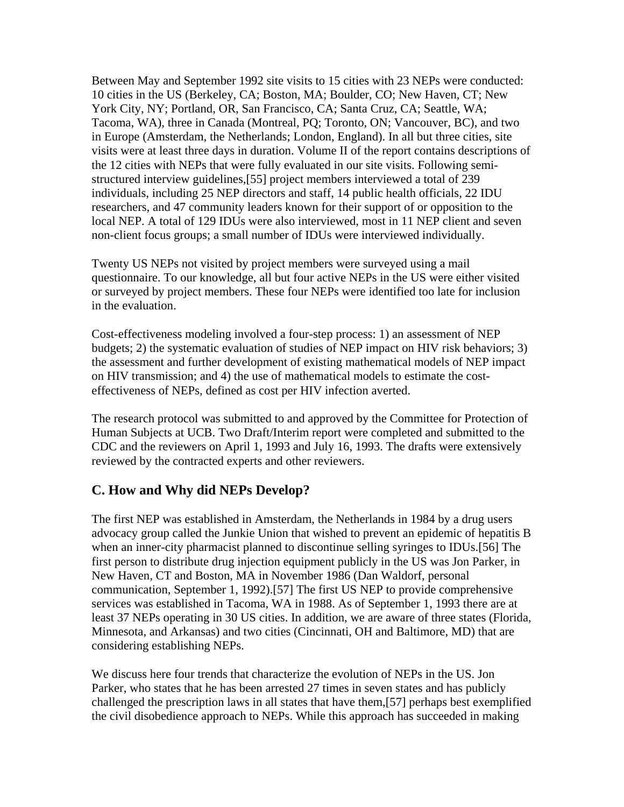Between May and September 1992 site visits to 15 cities with 23 NEPs were conducted: 10 cities in the US (Berkeley, CA; Boston, MA; Boulder, CO; New Haven, CT; New York City, NY; Portland, OR, San Francisco, CA; Santa Cruz, CA; Seattle, WA; Tacoma, WA), three in Canada (Montreal, PQ; Toronto, ON; Vancouver, BC), and two in Europe (Amsterdam, the Netherlands; London, England). In all but three cities, site visits were at least three days in duration. Volume II of the report contains descriptions of the 12 cities with NEPs that were fully evaluated in our site visits. Following semistructured interview guidelines,[55] project members interviewed a total of 239 individuals, including 25 NEP directors and staff, 14 public health officials, 22 IDU researchers, and 47 community leaders known for their support of or opposition to the local NEP. A total of 129 IDUs were also interviewed, most in 11 NEP client and seven non-client focus groups; a small number of IDUs were interviewed individually.

Twenty US NEPs not visited by project members were surveyed using a mail questionnaire. To our knowledge, all but four active NEPs in the US were either visited or surveyed by project members. These four NEPs were identified too late for inclusion in the evaluation.

Cost-effectiveness modeling involved a four-step process: 1) an assessment of NEP budgets; 2) the systematic evaluation of studies of NEP impact on HIV risk behaviors; 3) the assessment and further development of existing mathematical models of NEP impact on HIV transmission; and 4) the use of mathematical models to estimate the costeffectiveness of NEPs, defined as cost per HIV infection averted.

The research protocol was submitted to and approved by the Committee for Protection of Human Subjects at UCB. Two Draft/Interim report were completed and submitted to the CDC and the reviewers on April 1, 1993 and July 16, 1993. The drafts were extensively reviewed by the contracted experts and other reviewers.

#### **C. How and Why did NEPs Develop?**

The first NEP was established in Amsterdam, the Netherlands in 1984 by a drug users advocacy group called the Junkie Union that wished to prevent an epidemic of hepatitis B when an inner-city pharmacist planned to discontinue selling syringes to IDUs.[56] The first person to distribute drug injection equipment publicly in the US was Jon Parker, in New Haven, CT and Boston, MA in November 1986 (Dan Waldorf, personal communication, September 1, 1992).[57] The first US NEP to provide comprehensive services was established in Tacoma, WA in 1988. As of September 1, 1993 there are at least 37 NEPs operating in 30 US cities. In addition, we are aware of three states (Florida, Minnesota, and Arkansas) and two cities (Cincinnati, OH and Baltimore, MD) that are considering establishing NEPs.

We discuss here four trends that characterize the evolution of NEPs in the US. Jon Parker, who states that he has been arrested 27 times in seven states and has publicly challenged the prescription laws in all states that have them,[57] perhaps best exemplified the civil disobedience approach to NEPs. While this approach has succeeded in making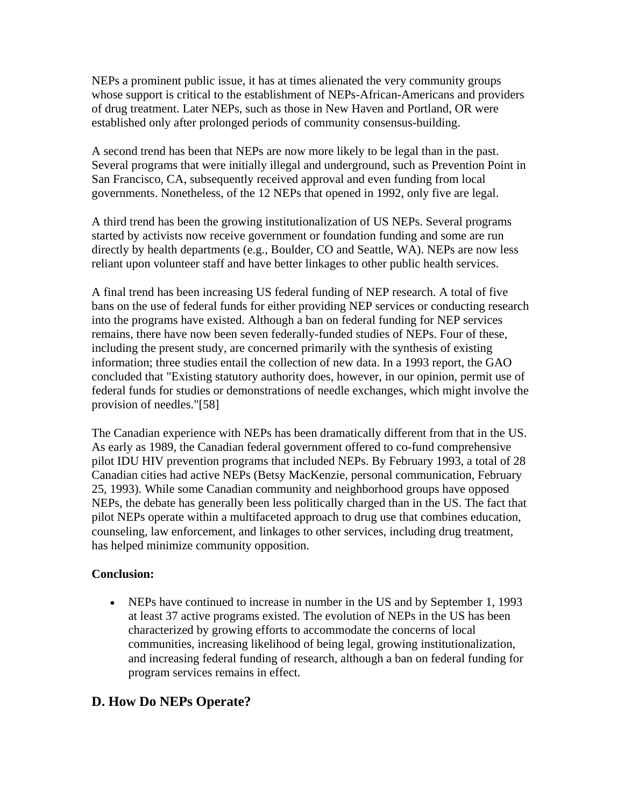NEPs a prominent public issue, it has at times alienated the very community groups whose support is critical to the establishment of NEPs-African-Americans and providers of drug treatment. Later NEPs, such as those in New Haven and Portland, OR were established only after prolonged periods of community consensus-building.

A second trend has been that NEPs are now more likely to be legal than in the past. Several programs that were initially illegal and underground, such as Prevention Point in San Francisco, CA, subsequently received approval and even funding from local governments. Nonetheless, of the 12 NEPs that opened in 1992, only five are legal.

A third trend has been the growing institutionalization of US NEPs. Several programs started by activists now receive government or foundation funding and some are run directly by health departments (e.g., Boulder, CO and Seattle, WA). NEPs are now less reliant upon volunteer staff and have better linkages to other public health services.

A final trend has been increasing US federal funding of NEP research. A total of five bans on the use of federal funds for either providing NEP services or conducting research into the programs have existed. Although a ban on federal funding for NEP services remains, there have now been seven federally-funded studies of NEPs. Four of these, including the present study, are concerned primarily with the synthesis of existing information; three studies entail the collection of new data. In a 1993 report, the GAO concluded that "Existing statutory authority does, however, in our opinion, permit use of federal funds for studies or demonstrations of needle exchanges, which might involve the provision of needles."[58]

The Canadian experience with NEPs has been dramatically different from that in the US. As early as 1989, the Canadian federal government offered to co-fund comprehensive pilot IDU HIV prevention programs that included NEPs. By February 1993, a total of 28 Canadian cities had active NEPs (Betsy MacKenzie, personal communication, February 25, 1993). While some Canadian community and neighborhood groups have opposed NEPs, the debate has generally been less politically charged than in the US. The fact that pilot NEPs operate within a multifaceted approach to drug use that combines education, counseling, law enforcement, and linkages to other services, including drug treatment, has helped minimize community opposition.

#### **Conclusion:**

• NEPs have continued to increase in number in the US and by September 1, 1993 at least 37 active programs existed. The evolution of NEPs in the US has been characterized by growing efforts to accommodate the concerns of local communities, increasing likelihood of being legal, growing institutionalization, and increasing federal funding of research, although a ban on federal funding for program services remains in effect.

# **D. How Do NEPs Operate?**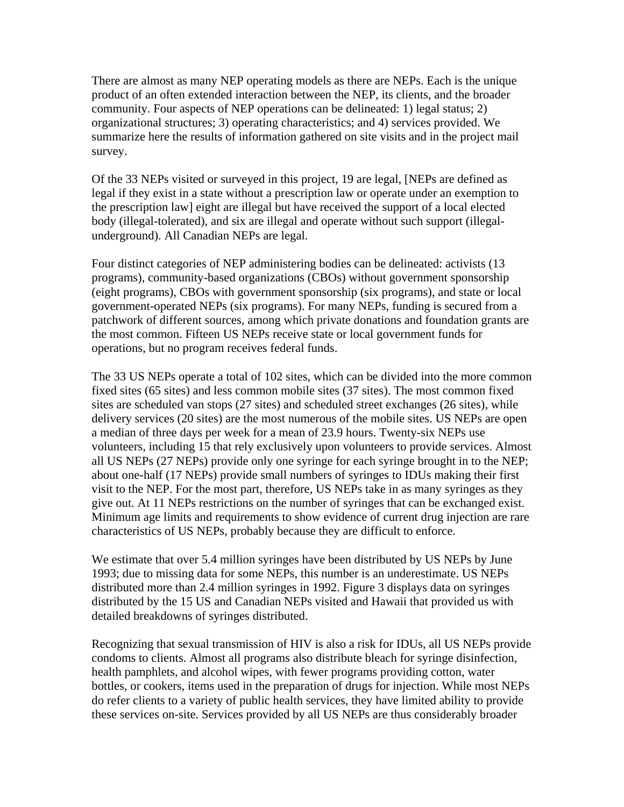There are almost as many NEP operating models as there are NEPs. Each is the unique product of an often extended interaction between the NEP, its clients, and the broader community. Four aspects of NEP operations can be delineated: 1) legal status; 2) organizational structures; 3) operating characteristics; and 4) services provided. We summarize here the results of information gathered on site visits and in the project mail survey.

Of the 33 NEPs visited or surveyed in this project, 19 are legal, [NEPs are defined as legal if they exist in a state without a prescription law or operate under an exemption to the prescription law] eight are illegal but have received the support of a local elected body (illegal-tolerated), and six are illegal and operate without such support (illegalunderground). All Canadian NEPs are legal.

Four distinct categories of NEP administering bodies can be delineated: activists (13 programs), community-based organizations (CBOs) without government sponsorship (eight programs), CBOs with government sponsorship (six programs), and state or local government-operated NEPs (six programs). For many NEPs, funding is secured from a patchwork of different sources, among which private donations and foundation grants are the most common. Fifteen US NEPs receive state or local government funds for operations, but no program receives federal funds.

The 33 US NEPs operate a total of 102 sites, which can be divided into the more common fixed sites (65 sites) and less common mobile sites (37 sites). The most common fixed sites are scheduled van stops (27 sites) and scheduled street exchanges (26 sites), while delivery services (20 sites) are the most numerous of the mobile sites. US NEPs are open a median of three days per week for a mean of 23.9 hours. Twenty-six NEPs use volunteers, including 15 that rely exclusively upon volunteers to provide services. Almost all US NEPs (27 NEPs) provide only one syringe for each syringe brought in to the NEP; about one-half (17 NEPs) provide small numbers of syringes to IDUs making their first visit to the NEP. For the most part, therefore, US NEPs take in as many syringes as they give out. At 11 NEPs restrictions on the number of syringes that can be exchanged exist. Minimum age limits and requirements to show evidence of current drug injection are rare characteristics of US NEPs, probably because they are difficult to enforce.

We estimate that over 5.4 million syringes have been distributed by US NEPs by June 1993; due to missing data for some NEPs, this number is an underestimate. US NEPs distributed more than 2.4 million syringes in 1992. Figure 3 displays data on syringes distributed by the 15 US and Canadian NEPs visited and Hawaii that provided us with detailed breakdowns of syringes distributed.

Recognizing that sexual transmission of HIV is also a risk for IDUs, all US NEPs provide condoms to clients. Almost all programs also distribute bleach for syringe disinfection, health pamphlets, and alcohol wipes, with fewer programs providing cotton, water bottles, or cookers, items used in the preparation of drugs for injection. While most NEPs do refer clients to a variety of public health services, they have limited ability to provide these services on-site. Services provided by all US NEPs are thus considerably broader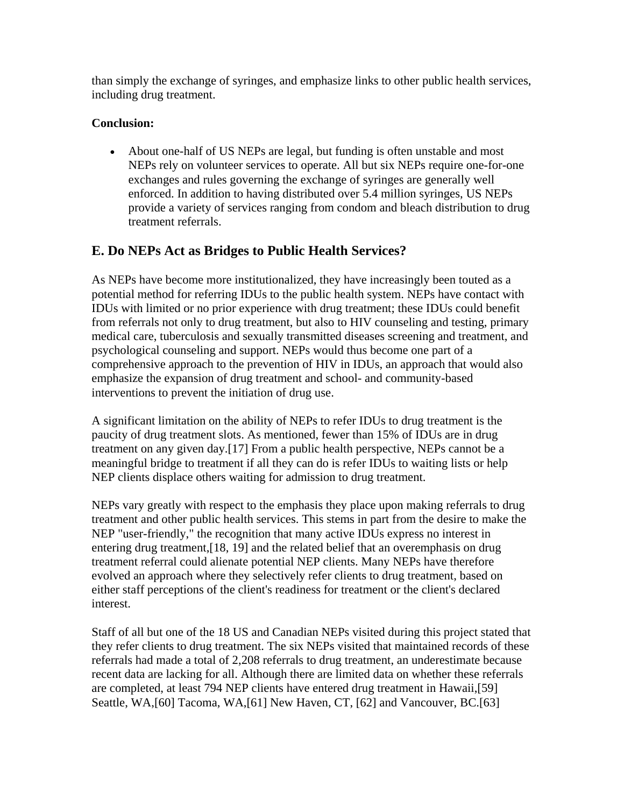than simply the exchange of syringes, and emphasize links to other public health services, including drug treatment.

#### **Conclusion:**

• About one-half of US NEPs are legal, but funding is often unstable and most NEPs rely on volunteer services to operate. All but six NEPs require one-for-one exchanges and rules governing the exchange of syringes are generally well enforced. In addition to having distributed over 5.4 million syringes, US NEPs provide a variety of services ranging from condom and bleach distribution to drug treatment referrals.

# **E. Do NEPs Act as Bridges to Public Health Services?**

As NEPs have become more institutionalized, they have increasingly been touted as a potential method for referring IDUs to the public health system. NEPs have contact with IDUs with limited or no prior experience with drug treatment; these IDUs could benefit from referrals not only to drug treatment, but also to HIV counseling and testing, primary medical care, tuberculosis and sexually transmitted diseases screening and treatment, and psychological counseling and support. NEPs would thus become one part of a comprehensive approach to the prevention of HIV in IDUs, an approach that would also emphasize the expansion of drug treatment and school- and community-based interventions to prevent the initiation of drug use.

A significant limitation on the ability of NEPs to refer IDUs to drug treatment is the paucity of drug treatment slots. As mentioned, fewer than 15% of IDUs are in drug treatment on any given day.[17] From a public health perspective, NEPs cannot be a meaningful bridge to treatment if all they can do is refer IDUs to waiting lists or help NEP clients displace others waiting for admission to drug treatment.

NEPs vary greatly with respect to the emphasis they place upon making referrals to drug treatment and other public health services. This stems in part from the desire to make the NEP "user-friendly," the recognition that many active IDUs express no interest in entering drug treatment,[18, 19] and the related belief that an overemphasis on drug treatment referral could alienate potential NEP clients. Many NEPs have therefore evolved an approach where they selectively refer clients to drug treatment, based on either staff perceptions of the client's readiness for treatment or the client's declared interest.

Staff of all but one of the 18 US and Canadian NEPs visited during this project stated that they refer clients to drug treatment. The six NEPs visited that maintained records of these referrals had made a total of 2,208 referrals to drug treatment, an underestimate because recent data are lacking for all. Although there are limited data on whether these referrals are completed, at least 794 NEP clients have entered drug treatment in Hawaii,[59] Seattle, WA,[60] Tacoma, WA,[61] New Haven, CT, [62] and Vancouver, BC.[63]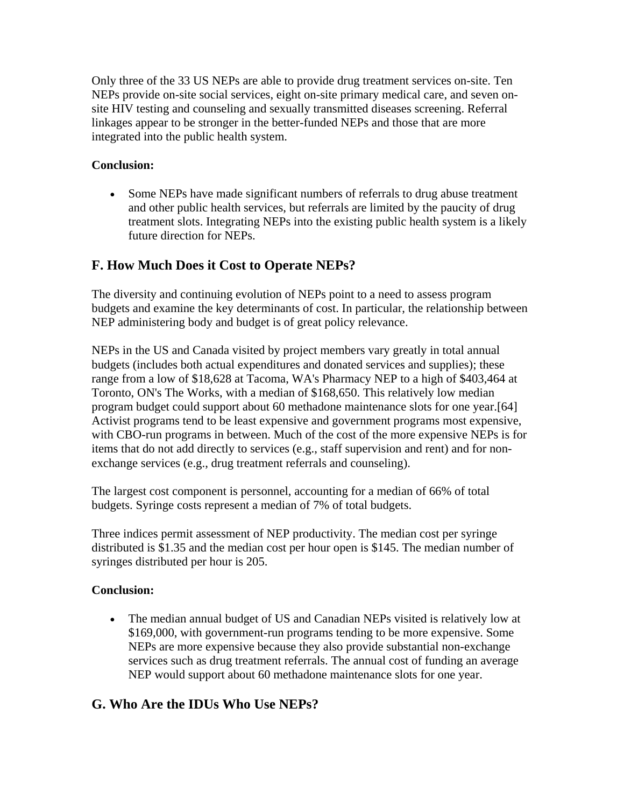Only three of the 33 US NEPs are able to provide drug treatment services on-site. Ten NEPs provide on-site social services, eight on-site primary medical care, and seven onsite HIV testing and counseling and sexually transmitted diseases screening. Referral linkages appear to be stronger in the better-funded NEPs and those that are more integrated into the public health system.

#### **Conclusion:**

• Some NEPs have made significant numbers of referrals to drug abuse treatment and other public health services, but referrals are limited by the paucity of drug treatment slots. Integrating NEPs into the existing public health system is a likely future direction for NEPs.

# **F. How Much Does it Cost to Operate NEPs?**

The diversity and continuing evolution of NEPs point to a need to assess program budgets and examine the key determinants of cost. In particular, the relationship between NEP administering body and budget is of great policy relevance.

NEPs in the US and Canada visited by project members vary greatly in total annual budgets (includes both actual expenditures and donated services and supplies); these range from a low of \$18,628 at Tacoma, WA's Pharmacy NEP to a high of \$403,464 at Toronto, ON's The Works, with a median of \$168,650. This relatively low median program budget could support about 60 methadone maintenance slots for one year.[64] Activist programs tend to be least expensive and government programs most expensive, with CBO-run programs in between. Much of the cost of the more expensive NEPs is for items that do not add directly to services (e.g., staff supervision and rent) and for nonexchange services (e.g., drug treatment referrals and counseling).

The largest cost component is personnel, accounting for a median of 66% of total budgets. Syringe costs represent a median of 7% of total budgets.

Three indices permit assessment of NEP productivity. The median cost per syringe distributed is \$1.35 and the median cost per hour open is \$145. The median number of syringes distributed per hour is 205.

#### **Conclusion:**

• The median annual budget of US and Canadian NEPs visited is relatively low at \$169,000, with government-run programs tending to be more expensive. Some NEPs are more expensive because they also provide substantial non-exchange services such as drug treatment referrals. The annual cost of funding an average NEP would support about 60 methadone maintenance slots for one year.

# **G. Who Are the IDUs Who Use NEPs?**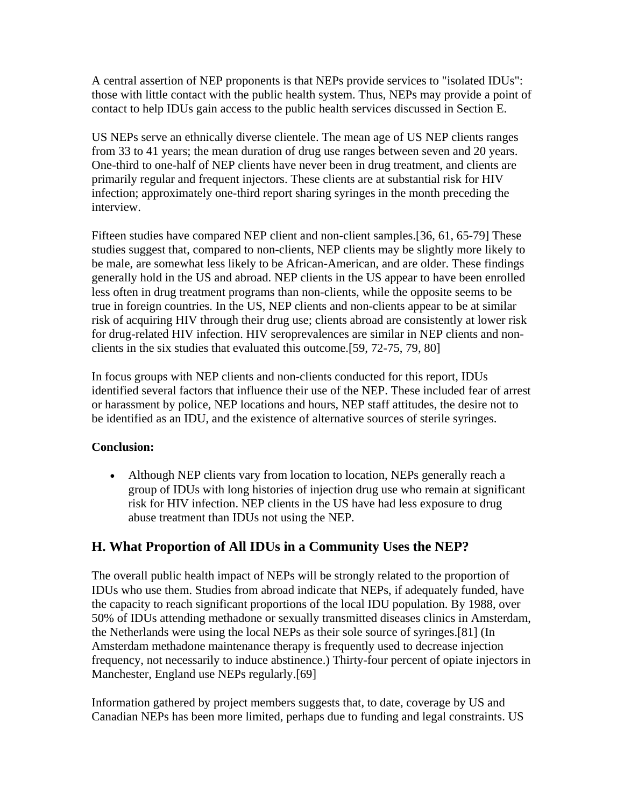A central assertion of NEP proponents is that NEPs provide services to "isolated IDUs": those with little contact with the public health system. Thus, NEPs may provide a point of contact to help IDUs gain access to the public health services discussed in Section E.

US NEPs serve an ethnically diverse clientele. The mean age of US NEP clients ranges from 33 to 41 years; the mean duration of drug use ranges between seven and 20 years. One-third to one-half of NEP clients have never been in drug treatment, and clients are primarily regular and frequent injectors. These clients are at substantial risk for HIV infection; approximately one-third report sharing syringes in the month preceding the interview.

Fifteen studies have compared NEP client and non-client samples.[36, 61, 65-79] These studies suggest that, compared to non-clients, NEP clients may be slightly more likely to be male, are somewhat less likely to be African-American, and are older. These findings generally hold in the US and abroad. NEP clients in the US appear to have been enrolled less often in drug treatment programs than non-clients, while the opposite seems to be true in foreign countries. In the US, NEP clients and non-clients appear to be at similar risk of acquiring HIV through their drug use; clients abroad are consistently at lower risk for drug-related HIV infection. HIV seroprevalences are similar in NEP clients and nonclients in the six studies that evaluated this outcome.[59, 72-75, 79, 80]

In focus groups with NEP clients and non-clients conducted for this report, IDUs identified several factors that influence their use of the NEP. These included fear of arrest or harassment by police, NEP locations and hours, NEP staff attitudes, the desire not to be identified as an IDU, and the existence of alternative sources of sterile syringes.

#### **Conclusion:**

• Although NEP clients vary from location to location, NEPs generally reach a group of IDUs with long histories of injection drug use who remain at significant risk for HIV infection. NEP clients in the US have had less exposure to drug abuse treatment than IDUs not using the NEP.

# **H. What Proportion of All IDUs in a Community Uses the NEP?**

The overall public health impact of NEPs will be strongly related to the proportion of IDUs who use them. Studies from abroad indicate that NEPs, if adequately funded, have the capacity to reach significant proportions of the local IDU population. By 1988, over 50% of IDUs attending methadone or sexually transmitted diseases clinics in Amsterdam, the Netherlands were using the local NEPs as their sole source of syringes.[81] (In Amsterdam methadone maintenance therapy is frequently used to decrease injection frequency, not necessarily to induce abstinence.) Thirty-four percent of opiate injectors in Manchester, England use NEPs regularly.[69]

Information gathered by project members suggests that, to date, coverage by US and Canadian NEPs has been more limited, perhaps due to funding and legal constraints. US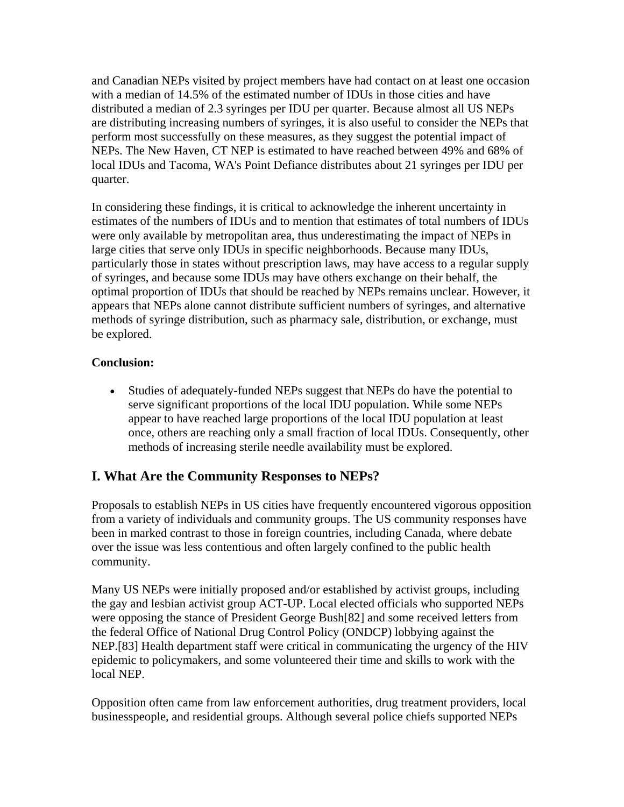and Canadian NEPs visited by project members have had contact on at least one occasion with a median of 14.5% of the estimated number of IDUs in those cities and have distributed a median of 2.3 syringes per IDU per quarter. Because almost all US NEPs are distributing increasing numbers of syringes, it is also useful to consider the NEPs that perform most successfully on these measures, as they suggest the potential impact of NEPs. The New Haven, CT NEP is estimated to have reached between 49% and 68% of local IDUs and Tacoma, WA's Point Defiance distributes about 21 syringes per IDU per quarter.

In considering these findings, it is critical to acknowledge the inherent uncertainty in estimates of the numbers of IDUs and to mention that estimates of total numbers of IDUs were only available by metropolitan area, thus underestimating the impact of NEPs in large cities that serve only IDUs in specific neighborhoods. Because many IDUs, particularly those in states without prescription laws, may have access to a regular supply of syringes, and because some IDUs may have others exchange on their behalf, the optimal proportion of IDUs that should be reached by NEPs remains unclear. However, it appears that NEPs alone cannot distribute sufficient numbers of syringes, and alternative methods of syringe distribution, such as pharmacy sale, distribution, or exchange, must be explored.

#### **Conclusion:**

• Studies of adequately-funded NEPs suggest that NEPs do have the potential to serve significant proportions of the local IDU population. While some NEPs appear to have reached large proportions of the local IDU population at least once, others are reaching only a small fraction of local IDUs. Consequently, other methods of increasing sterile needle availability must be explored.

# **I. What Are the Community Responses to NEPs?**

Proposals to establish NEPs in US cities have frequently encountered vigorous opposition from a variety of individuals and community groups. The US community responses have been in marked contrast to those in foreign countries, including Canada, where debate over the issue was less contentious and often largely confined to the public health community.

Many US NEPs were initially proposed and/or established by activist groups, including the gay and lesbian activist group ACT-UP. Local elected officials who supported NEPs were opposing the stance of President George Bush[82] and some received letters from the federal Office of National Drug Control Policy (ONDCP) lobbying against the NEP.[83] Health department staff were critical in communicating the urgency of the HIV epidemic to policymakers, and some volunteered their time and skills to work with the local NEP.

Opposition often came from law enforcement authorities, drug treatment providers, local businesspeople, and residential groups. Although several police chiefs supported NEPs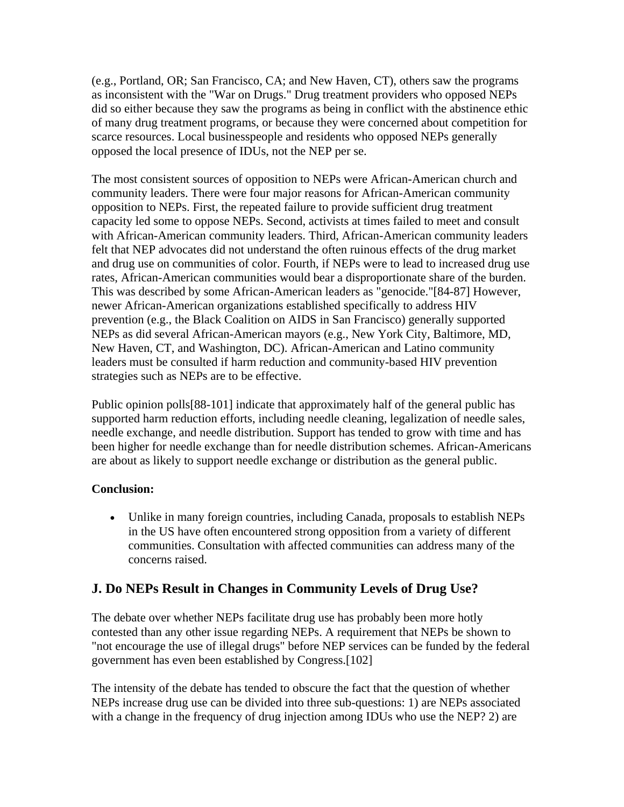(e.g., Portland, OR; San Francisco, CA; and New Haven, CT), others saw the programs as inconsistent with the "War on Drugs." Drug treatment providers who opposed NEPs did so either because they saw the programs as being in conflict with the abstinence ethic of many drug treatment programs, or because they were concerned about competition for scarce resources. Local businesspeople and residents who opposed NEPs generally opposed the local presence of IDUs, not the NEP per se.

The most consistent sources of opposition to NEPs were African-American church and community leaders. There were four major reasons for African-American community opposition to NEPs. First, the repeated failure to provide sufficient drug treatment capacity led some to oppose NEPs. Second, activists at times failed to meet and consult with African-American community leaders. Third, African-American community leaders felt that NEP advocates did not understand the often ruinous effects of the drug market and drug use on communities of color. Fourth, if NEPs were to lead to increased drug use rates, African-American communities would bear a disproportionate share of the burden. This was described by some African-American leaders as "genocide."[84-87] However, newer African-American organizations established specifically to address HIV prevention (e.g., the Black Coalition on AIDS in San Francisco) generally supported NEPs as did several African-American mayors (e.g., New York City, Baltimore, MD, New Haven, CT, and Washington, DC). African-American and Latino community leaders must be consulted if harm reduction and community-based HIV prevention strategies such as NEPs are to be effective.

Public opinion polls[88-101] indicate that approximately half of the general public has supported harm reduction efforts, including needle cleaning, legalization of needle sales, needle exchange, and needle distribution. Support has tended to grow with time and has been higher for needle exchange than for needle distribution schemes. African-Americans are about as likely to support needle exchange or distribution as the general public.

#### **Conclusion:**

• Unlike in many foreign countries, including Canada, proposals to establish NEPs in the US have often encountered strong opposition from a variety of different communities. Consultation with affected communities can address many of the concerns raised.

#### **J. Do NEPs Result in Changes in Community Levels of Drug Use?**

The debate over whether NEPs facilitate drug use has probably been more hotly contested than any other issue regarding NEPs. A requirement that NEPs be shown to "not encourage the use of illegal drugs" before NEP services can be funded by the federal government has even been established by Congress.[102]

The intensity of the debate has tended to obscure the fact that the question of whether NEPs increase drug use can be divided into three sub-questions: 1) are NEPs associated with a change in the frequency of drug injection among IDUs who use the NEP? 2) are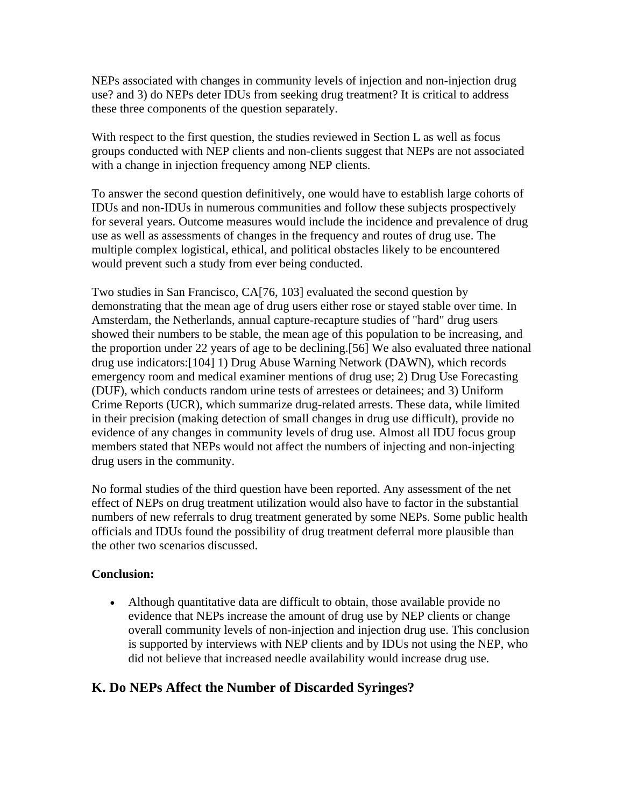NEPs associated with changes in community levels of injection and non-injection drug use? and 3) do NEPs deter IDUs from seeking drug treatment? It is critical to address these three components of the question separately.

With respect to the first question, the studies reviewed in Section L as well as focus groups conducted with NEP clients and non-clients suggest that NEPs are not associated with a change in injection frequency among NEP clients.

To answer the second question definitively, one would have to establish large cohorts of IDUs and non-IDUs in numerous communities and follow these subjects prospectively for several years. Outcome measures would include the incidence and prevalence of drug use as well as assessments of changes in the frequency and routes of drug use. The multiple complex logistical, ethical, and political obstacles likely to be encountered would prevent such a study from ever being conducted.

Two studies in San Francisco, CA[76, 103] evaluated the second question by demonstrating that the mean age of drug users either rose or stayed stable over time. In Amsterdam, the Netherlands, annual capture-recapture studies of "hard" drug users showed their numbers to be stable, the mean age of this population to be increasing, and the proportion under 22 years of age to be declining.[56] We also evaluated three national drug use indicators:[104] 1) Drug Abuse Warning Network (DAWN), which records emergency room and medical examiner mentions of drug use; 2) Drug Use Forecasting (DUF), which conducts random urine tests of arrestees or detainees; and 3) Uniform Crime Reports (UCR), which summarize drug-related arrests. These data, while limited in their precision (making detection of small changes in drug use difficult), provide no evidence of any changes in community levels of drug use. Almost all IDU focus group members stated that NEPs would not affect the numbers of injecting and non-injecting drug users in the community.

No formal studies of the third question have been reported. Any assessment of the net effect of NEPs on drug treatment utilization would also have to factor in the substantial numbers of new referrals to drug treatment generated by some NEPs. Some public health officials and IDUs found the possibility of drug treatment deferral more plausible than the other two scenarios discussed.

#### **Conclusion:**

• Although quantitative data are difficult to obtain, those available provide no evidence that NEPs increase the amount of drug use by NEP clients or change overall community levels of non-injection and injection drug use. This conclusion is supported by interviews with NEP clients and by IDUs not using the NEP, who did not believe that increased needle availability would increase drug use.

#### **K. Do NEPs Affect the Number of Discarded Syringes?**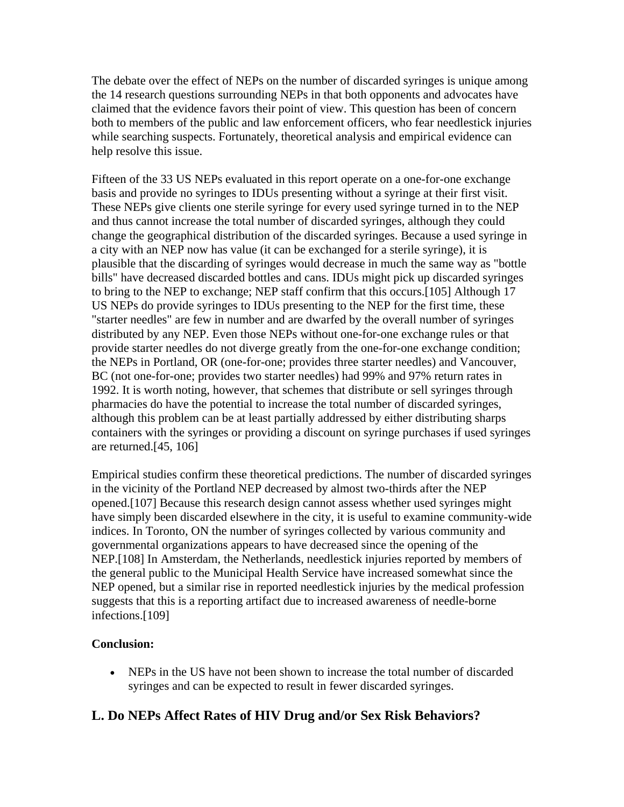The debate over the effect of NEPs on the number of discarded syringes is unique among the 14 research questions surrounding NEPs in that both opponents and advocates have claimed that the evidence favors their point of view. This question has been of concern both to members of the public and law enforcement officers, who fear needlestick injuries while searching suspects. Fortunately, theoretical analysis and empirical evidence can help resolve this issue.

Fifteen of the 33 US NEPs evaluated in this report operate on a one-for-one exchange basis and provide no syringes to IDUs presenting without a syringe at their first visit. These NEPs give clients one sterile syringe for every used syringe turned in to the NEP and thus cannot increase the total number of discarded syringes, although they could change the geographical distribution of the discarded syringes. Because a used syringe in a city with an NEP now has value (it can be exchanged for a sterile syringe), it is plausible that the discarding of syringes would decrease in much the same way as "bottle bills" have decreased discarded bottles and cans. IDUs might pick up discarded syringes to bring to the NEP to exchange; NEP staff confirm that this occurs.[105] Although 17 US NEPs do provide syringes to IDUs presenting to the NEP for the first time, these "starter needles" are few in number and are dwarfed by the overall number of syringes distributed by any NEP. Even those NEPs without one-for-one exchange rules or that provide starter needles do not diverge greatly from the one-for-one exchange condition; the NEPs in Portland, OR (one-for-one; provides three starter needles) and Vancouver, BC (not one-for-one; provides two starter needles) had 99% and 97% return rates in 1992. It is worth noting, however, that schemes that distribute or sell syringes through pharmacies do have the potential to increase the total number of discarded syringes, although this problem can be at least partially addressed by either distributing sharps containers with the syringes or providing a discount on syringe purchases if used syringes are returned.[45, 106]

Empirical studies confirm these theoretical predictions. The number of discarded syringes in the vicinity of the Portland NEP decreased by almost two-thirds after the NEP opened.[107] Because this research design cannot assess whether used syringes might have simply been discarded elsewhere in the city, it is useful to examine community-wide indices. In Toronto, ON the number of syringes collected by various community and governmental organizations appears to have decreased since the opening of the NEP.[108] In Amsterdam, the Netherlands, needlestick injuries reported by members of the general public to the Municipal Health Service have increased somewhat since the NEP opened, but a similar rise in reported needlestick injuries by the medical profession suggests that this is a reporting artifact due to increased awareness of needle-borne infections.[109]

#### **Conclusion:**

• NEPs in the US have not been shown to increase the total number of discarded syringes and can be expected to result in fewer discarded syringes.

# **L. Do NEPs Affect Rates of HIV Drug and/or Sex Risk Behaviors?**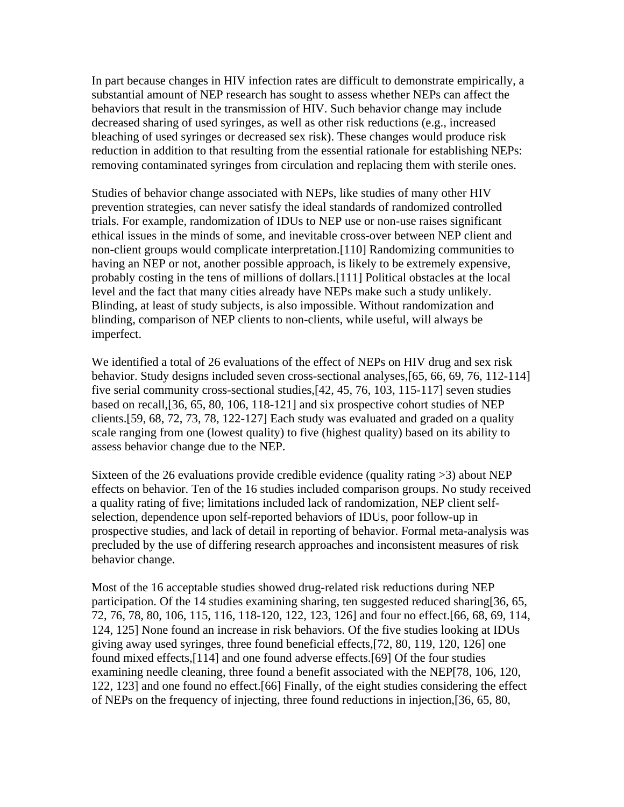In part because changes in HIV infection rates are difficult to demonstrate empirically, a substantial amount of NEP research has sought to assess whether NEPs can affect the behaviors that result in the transmission of HIV. Such behavior change may include decreased sharing of used syringes, as well as other risk reductions (e.g., increased bleaching of used syringes or decreased sex risk). These changes would produce risk reduction in addition to that resulting from the essential rationale for establishing NEPs: removing contaminated syringes from circulation and replacing them with sterile ones.

Studies of behavior change associated with NEPs, like studies of many other HIV prevention strategies, can never satisfy the ideal standards of randomized controlled trials. For example, randomization of IDUs to NEP use or non-use raises significant ethical issues in the minds of some, and inevitable cross-over between NEP client and non-client groups would complicate interpretation.[110] Randomizing communities to having an NEP or not, another possible approach, is likely to be extremely expensive, probably costing in the tens of millions of dollars.[111] Political obstacles at the local level and the fact that many cities already have NEPs make such a study unlikely. Blinding, at least of study subjects, is also impossible. Without randomization and blinding, comparison of NEP clients to non-clients, while useful, will always be imperfect.

We identified a total of 26 evaluations of the effect of NEPs on HIV drug and sex risk behavior. Study designs included seven cross-sectional analyses,[65, 66, 69, 76, 112-114] five serial community cross-sectional studies,[42, 45, 76, 103, 115-117] seven studies based on recall,[36, 65, 80, 106, 118-121] and six prospective cohort studies of NEP clients.[59, 68, 72, 73, 78, 122-127] Each study was evaluated and graded on a quality scale ranging from one (lowest quality) to five (highest quality) based on its ability to assess behavior change due to the NEP.

Sixteen of the 26 evaluations provide credible evidence (quality rating >3) about NEP effects on behavior. Ten of the 16 studies included comparison groups. No study received a quality rating of five; limitations included lack of randomization, NEP client selfselection, dependence upon self-reported behaviors of IDUs, poor follow-up in prospective studies, and lack of detail in reporting of behavior. Formal meta-analysis was precluded by the use of differing research approaches and inconsistent measures of risk behavior change.

Most of the 16 acceptable studies showed drug-related risk reductions during NEP participation. Of the 14 studies examining sharing, ten suggested reduced sharing[36, 65, 72, 76, 78, 80, 106, 115, 116, 118-120, 122, 123, 126] and four no effect.[66, 68, 69, 114, 124, 125] None found an increase in risk behaviors. Of the five studies looking at IDUs giving away used syringes, three found beneficial effects,[72, 80, 119, 120, 126] one found mixed effects,[114] and one found adverse effects.[69] Of the four studies examining needle cleaning, three found a benefit associated with the NEP[78, 106, 120, 122, 123] and one found no effect.[66] Finally, of the eight studies considering the effect of NEPs on the frequency of injecting, three found reductions in injection,[36, 65, 80,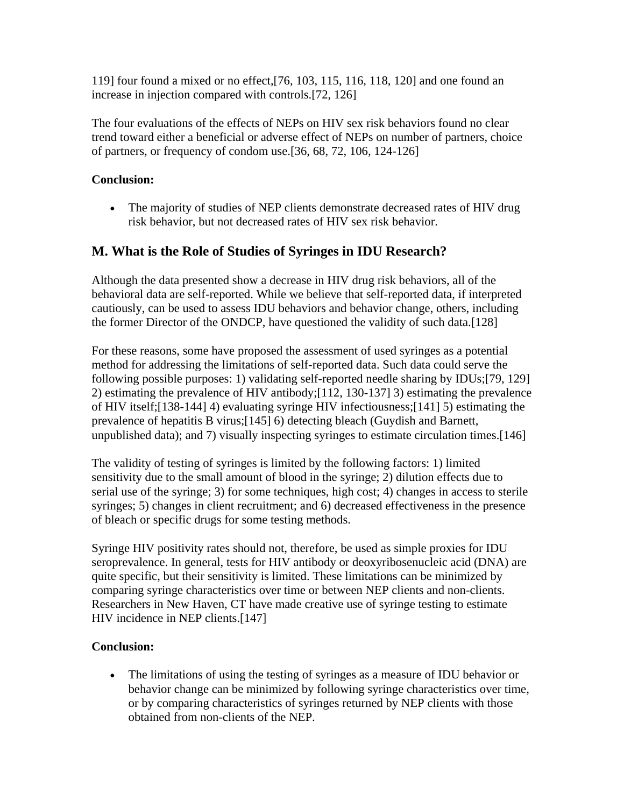119] four found a mixed or no effect,[76, 103, 115, 116, 118, 120] and one found an increase in injection compared with controls.[72, 126]

The four evaluations of the effects of NEPs on HIV sex risk behaviors found no clear trend toward either a beneficial or adverse effect of NEPs on number of partners, choice of partners, or frequency of condom use.[36, 68, 72, 106, 124-126]

#### **Conclusion:**

• The majority of studies of NEP clients demonstrate decreased rates of HIV drug risk behavior, but not decreased rates of HIV sex risk behavior.

### **M. What is the Role of Studies of Syringes in IDU Research?**

Although the data presented show a decrease in HIV drug risk behaviors, all of the behavioral data are self-reported. While we believe that self-reported data, if interpreted cautiously, can be used to assess IDU behaviors and behavior change, others, including the former Director of the ONDCP, have questioned the validity of such data.[128]

For these reasons, some have proposed the assessment of used syringes as a potential method for addressing the limitations of self-reported data. Such data could serve the following possible purposes: 1) validating self-reported needle sharing by IDUs;[79, 129] 2) estimating the prevalence of HIV antibody;[112, 130-137] 3) estimating the prevalence of HIV itself;[138-144] 4) evaluating syringe HIV infectiousness;[141] 5) estimating the prevalence of hepatitis B virus;[145] 6) detecting bleach (Guydish and Barnett, unpublished data); and 7) visually inspecting syringes to estimate circulation times.[146]

The validity of testing of syringes is limited by the following factors: 1) limited sensitivity due to the small amount of blood in the syringe; 2) dilution effects due to serial use of the syringe; 3) for some techniques, high cost; 4) changes in access to sterile syringes; 5) changes in client recruitment; and 6) decreased effectiveness in the presence of bleach or specific drugs for some testing methods.

Syringe HIV positivity rates should not, therefore, be used as simple proxies for IDU seroprevalence. In general, tests for HIV antibody or deoxyribosenucleic acid (DNA) are quite specific, but their sensitivity is limited. These limitations can be minimized by comparing syringe characteristics over time or between NEP clients and non-clients. Researchers in New Haven, CT have made creative use of syringe testing to estimate HIV incidence in NEP clients.[147]

#### **Conclusion:**

• The limitations of using the testing of syringes as a measure of IDU behavior or behavior change can be minimized by following syringe characteristics over time, or by comparing characteristics of syringes returned by NEP clients with those obtained from non-clients of the NEP.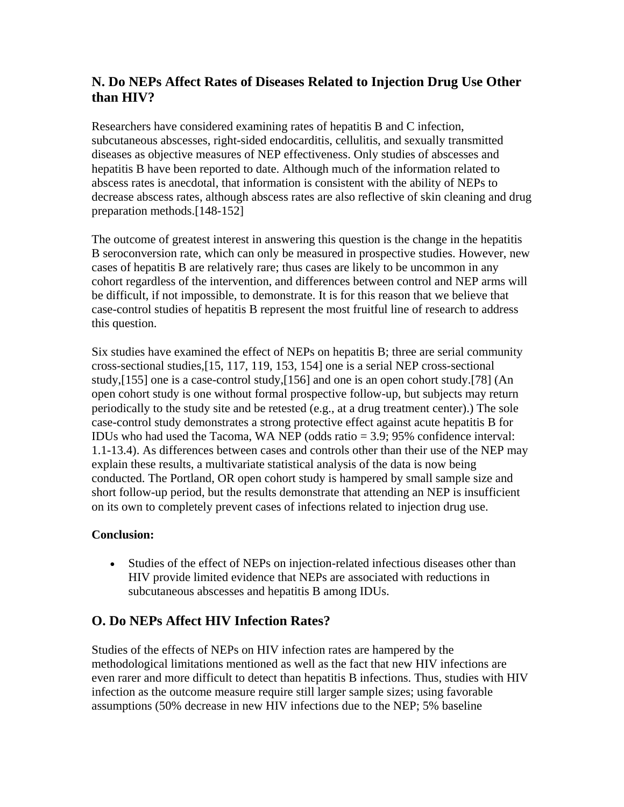# **N. Do NEPs Affect Rates of Diseases Related to Injection Drug Use Other than HIV?**

Researchers have considered examining rates of hepatitis B and C infection, subcutaneous abscesses, right-sided endocarditis, cellulitis, and sexually transmitted diseases as objective measures of NEP effectiveness. Only studies of abscesses and hepatitis B have been reported to date. Although much of the information related to abscess rates is anecdotal, that information is consistent with the ability of NEPs to decrease abscess rates, although abscess rates are also reflective of skin cleaning and drug preparation methods.[148-152]

The outcome of greatest interest in answering this question is the change in the hepatitis B seroconversion rate, which can only be measured in prospective studies. However, new cases of hepatitis B are relatively rare; thus cases are likely to be uncommon in any cohort regardless of the intervention, and differences between control and NEP arms will be difficult, if not impossible, to demonstrate. It is for this reason that we believe that case-control studies of hepatitis B represent the most fruitful line of research to address this question.

Six studies have examined the effect of NEPs on hepatitis B; three are serial community cross-sectional studies,[15, 117, 119, 153, 154] one is a serial NEP cross-sectional study,[155] one is a case-control study,[156] and one is an open cohort study.[78] (An open cohort study is one without formal prospective follow-up, but subjects may return periodically to the study site and be retested (e.g., at a drug treatment center).) The sole case-control study demonstrates a strong protective effect against acute hepatitis B for IDUs who had used the Tacoma, WA NEP (odds ratio = 3.9; 95% confidence interval: 1.1-13.4). As differences between cases and controls other than their use of the NEP may explain these results, a multivariate statistical analysis of the data is now being conducted. The Portland, OR open cohort study is hampered by small sample size and short follow-up period, but the results demonstrate that attending an NEP is insufficient on its own to completely prevent cases of infections related to injection drug use.

#### **Conclusion:**

• Studies of the effect of NEPs on injection-related infectious diseases other than HIV provide limited evidence that NEPs are associated with reductions in subcutaneous abscesses and hepatitis B among IDUs.

# **O. Do NEPs Affect HIV Infection Rates?**

Studies of the effects of NEPs on HIV infection rates are hampered by the methodological limitations mentioned as well as the fact that new HIV infections are even rarer and more difficult to detect than hepatitis B infections. Thus, studies with HIV infection as the outcome measure require still larger sample sizes; using favorable assumptions (50% decrease in new HIV infections due to the NEP; 5% baseline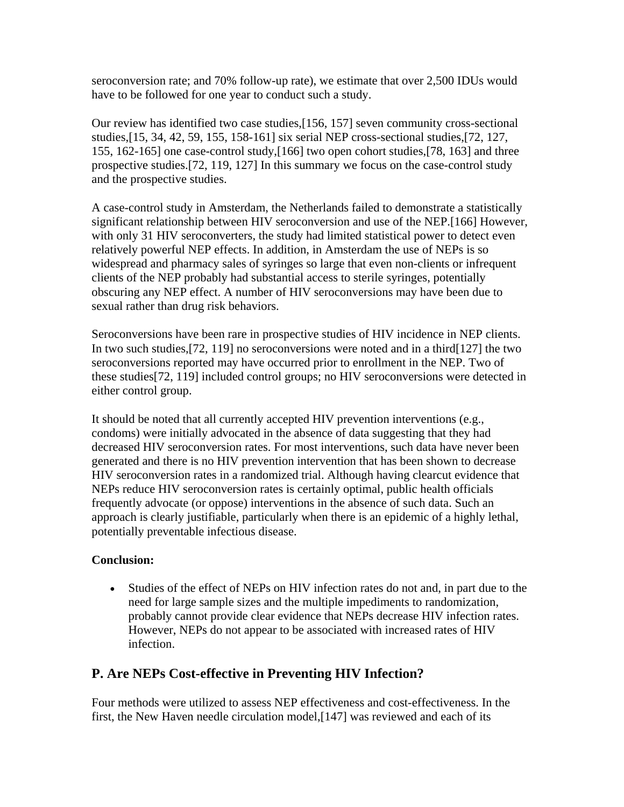seroconversion rate; and 70% follow-up rate), we estimate that over 2,500 IDUs would have to be followed for one year to conduct such a study.

Our review has identified two case studies,[156, 157] seven community cross-sectional studies,[15, 34, 42, 59, 155, 158-161] six serial NEP cross-sectional studies,[72, 127, 155, 162-165] one case-control study,[166] two open cohort studies,[78, 163] and three prospective studies.[72, 119, 127] In this summary we focus on the case-control study and the prospective studies.

A case-control study in Amsterdam, the Netherlands failed to demonstrate a statistically significant relationship between HIV seroconversion and use of the NEP.[166] However, with only 31 HIV seroconverters, the study had limited statistical power to detect even relatively powerful NEP effects. In addition, in Amsterdam the use of NEPs is so widespread and pharmacy sales of syringes so large that even non-clients or infrequent clients of the NEP probably had substantial access to sterile syringes, potentially obscuring any NEP effect. A number of HIV seroconversions may have been due to sexual rather than drug risk behaviors.

Seroconversions have been rare in prospective studies of HIV incidence in NEP clients. In two such studies,[72, 119] no seroconversions were noted and in a third[127] the two seroconversions reported may have occurred prior to enrollment in the NEP. Two of these studies[72, 119] included control groups; no HIV seroconversions were detected in either control group.

It should be noted that all currently accepted HIV prevention interventions (e.g., condoms) were initially advocated in the absence of data suggesting that they had decreased HIV seroconversion rates. For most interventions, such data have never been generated and there is no HIV prevention intervention that has been shown to decrease HIV seroconversion rates in a randomized trial. Although having clearcut evidence that NEPs reduce HIV seroconversion rates is certainly optimal, public health officials frequently advocate (or oppose) interventions in the absence of such data. Such an approach is clearly justifiable, particularly when there is an epidemic of a highly lethal, potentially preventable infectious disease.

#### **Conclusion:**

• Studies of the effect of NEPs on HIV infection rates do not and, in part due to the need for large sample sizes and the multiple impediments to randomization, probably cannot provide clear evidence that NEPs decrease HIV infection rates. However, NEPs do not appear to be associated with increased rates of HIV infection.

#### **P. Are NEPs Cost-effective in Preventing HIV Infection?**

Four methods were utilized to assess NEP effectiveness and cost-effectiveness. In the first, the New Haven needle circulation model,[147] was reviewed and each of its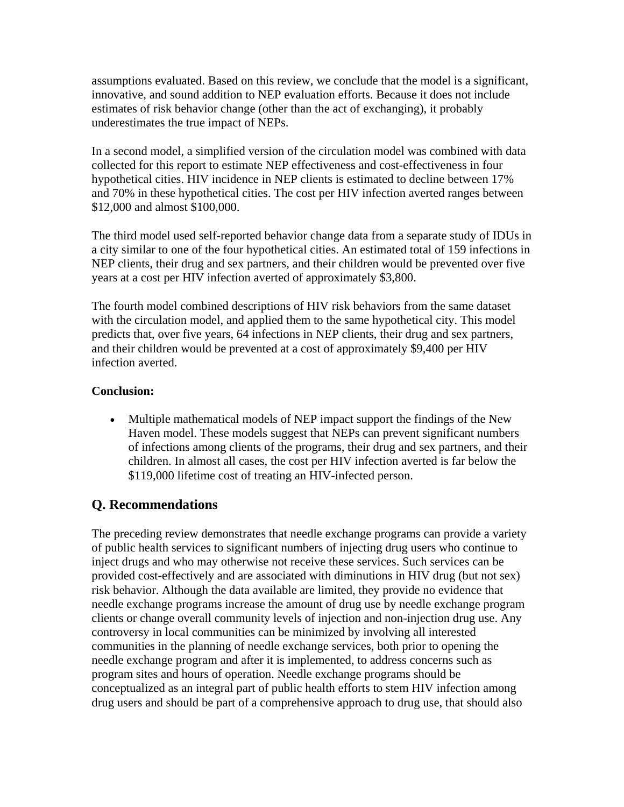assumptions evaluated. Based on this review, we conclude that the model is a significant, innovative, and sound addition to NEP evaluation efforts. Because it does not include estimates of risk behavior change (other than the act of exchanging), it probably underestimates the true impact of NEPs.

In a second model, a simplified version of the circulation model was combined with data collected for this report to estimate NEP effectiveness and cost-effectiveness in four hypothetical cities. HIV incidence in NEP clients is estimated to decline between 17% and 70% in these hypothetical cities. The cost per HIV infection averted ranges between \$12,000 and almost \$100,000.

The third model used self-reported behavior change data from a separate study of IDUs in a city similar to one of the four hypothetical cities. An estimated total of 159 infections in NEP clients, their drug and sex partners, and their children would be prevented over five years at a cost per HIV infection averted of approximately \$3,800.

The fourth model combined descriptions of HIV risk behaviors from the same dataset with the circulation model, and applied them to the same hypothetical city. This model predicts that, over five years, 64 infections in NEP clients, their drug and sex partners, and their children would be prevented at a cost of approximately \$9,400 per HIV infection averted.

#### **Conclusion:**

• Multiple mathematical models of NEP impact support the findings of the New Haven model. These models suggest that NEPs can prevent significant numbers of infections among clients of the programs, their drug and sex partners, and their children. In almost all cases, the cost per HIV infection averted is far below the \$119,000 lifetime cost of treating an HIV-infected person.

# **Q. Recommendations**

The preceding review demonstrates that needle exchange programs can provide a variety of public health services to significant numbers of injecting drug users who continue to inject drugs and who may otherwise not receive these services. Such services can be provided cost-effectively and are associated with diminutions in HIV drug (but not sex) risk behavior. Although the data available are limited, they provide no evidence that needle exchange programs increase the amount of drug use by needle exchange program clients or change overall community levels of injection and non-injection drug use. Any controversy in local communities can be minimized by involving all interested communities in the planning of needle exchange services, both prior to opening the needle exchange program and after it is implemented, to address concerns such as program sites and hours of operation. Needle exchange programs should be conceptualized as an integral part of public health efforts to stem HIV infection among drug users and should be part of a comprehensive approach to drug use, that should also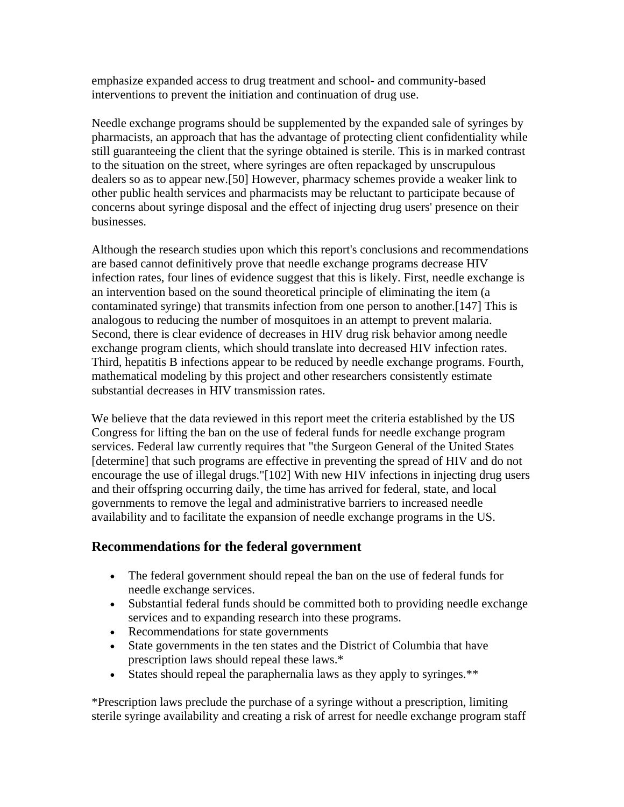emphasize expanded access to drug treatment and school- and community-based interventions to prevent the initiation and continuation of drug use.

Needle exchange programs should be supplemented by the expanded sale of syringes by pharmacists, an approach that has the advantage of protecting client confidentiality while still guaranteeing the client that the syringe obtained is sterile. This is in marked contrast to the situation on the street, where syringes are often repackaged by unscrupulous dealers so as to appear new.[50] However, pharmacy schemes provide a weaker link to other public health services and pharmacists may be reluctant to participate because of concerns about syringe disposal and the effect of injecting drug users' presence on their businesses.

Although the research studies upon which this report's conclusions and recommendations are based cannot definitively prove that needle exchange programs decrease HIV infection rates, four lines of evidence suggest that this is likely. First, needle exchange is an intervention based on the sound theoretical principle of eliminating the item (a contaminated syringe) that transmits infection from one person to another.[147] This is analogous to reducing the number of mosquitoes in an attempt to prevent malaria. Second, there is clear evidence of decreases in HIV drug risk behavior among needle exchange program clients, which should translate into decreased HIV infection rates. Third, hepatitis B infections appear to be reduced by needle exchange programs. Fourth, mathematical modeling by this project and other researchers consistently estimate substantial decreases in HIV transmission rates.

We believe that the data reviewed in this report meet the criteria established by the US Congress for lifting the ban on the use of federal funds for needle exchange program services. Federal law currently requires that "the Surgeon General of the United States [determine] that such programs are effective in preventing the spread of HIV and do not encourage the use of illegal drugs."[102] With new HIV infections in injecting drug users and their offspring occurring daily, the time has arrived for federal, state, and local governments to remove the legal and administrative barriers to increased needle availability and to facilitate the expansion of needle exchange programs in the US.

#### **Recommendations for the federal government**

- The federal government should repeal the ban on the use of federal funds for needle exchange services.
- Substantial federal funds should be committed both to providing needle exchange services and to expanding research into these programs.
- Recommendations for state governments
- State governments in the ten states and the District of Columbia that have prescription laws should repeal these laws.\*
- States should repeal the paraphernalia laws as they apply to syringes.\*\*

\*Prescription laws preclude the purchase of a syringe without a prescription, limiting sterile syringe availability and creating a risk of arrest for needle exchange program staff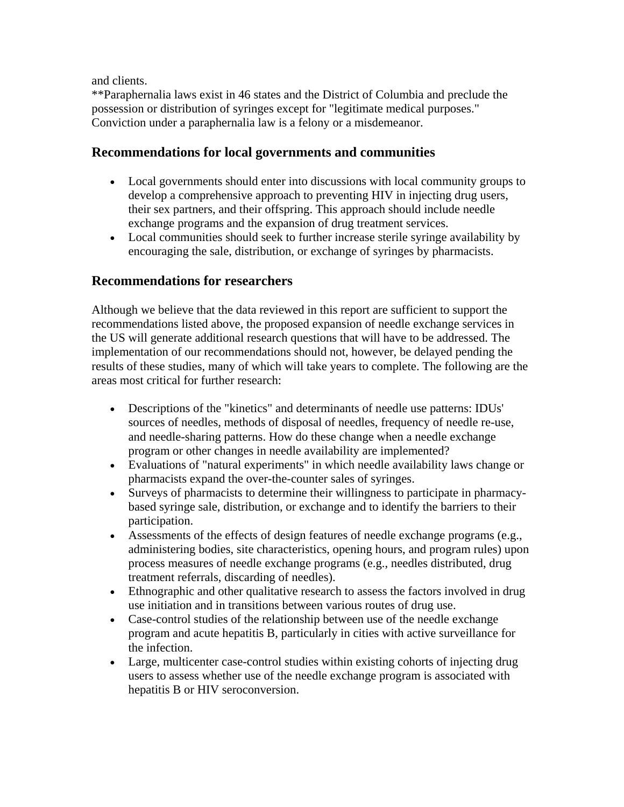and clients.

\*\*Paraphernalia laws exist in 46 states and the District of Columbia and preclude the possession or distribution of syringes except for "legitimate medical purposes." Conviction under a paraphernalia law is a felony or a misdemeanor.

#### **Recommendations for local governments and communities**

- Local governments should enter into discussions with local community groups to develop a comprehensive approach to preventing HIV in injecting drug users, their sex partners, and their offspring. This approach should include needle exchange programs and the expansion of drug treatment services.
- Local communities should seek to further increase sterile syringe availability by encouraging the sale, distribution, or exchange of syringes by pharmacists.

#### **Recommendations for researchers**

Although we believe that the data reviewed in this report are sufficient to support the recommendations listed above, the proposed expansion of needle exchange services in the US will generate additional research questions that will have to be addressed. The implementation of our recommendations should not, however, be delayed pending the results of these studies, many of which will take years to complete. The following are the areas most critical for further research:

- Descriptions of the "kinetics" and determinants of needle use patterns: IDUs' sources of needles, methods of disposal of needles, frequency of needle re-use, and needle-sharing patterns. How do these change when a needle exchange program or other changes in needle availability are implemented?
- Evaluations of "natural experiments" in which needle availability laws change or pharmacists expand the over-the-counter sales of syringes.
- Surveys of pharmacists to determine their willingness to participate in pharmacybased syringe sale, distribution, or exchange and to identify the barriers to their participation.
- Assessments of the effects of design features of needle exchange programs (e.g., administering bodies, site characteristics, opening hours, and program rules) upon process measures of needle exchange programs (e.g., needles distributed, drug treatment referrals, discarding of needles).
- Ethnographic and other qualitative research to assess the factors involved in drug use initiation and in transitions between various routes of drug use.
- Case-control studies of the relationship between use of the needle exchange program and acute hepatitis B, particularly in cities with active surveillance for the infection.
- Large, multicenter case-control studies within existing cohorts of injecting drug users to assess whether use of the needle exchange program is associated with hepatitis B or HIV seroconversion.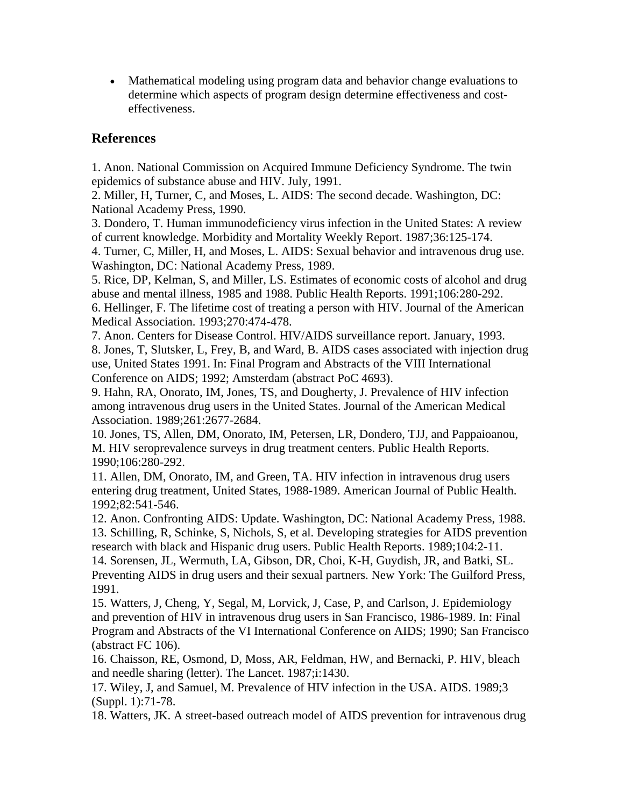• Mathematical modeling using program data and behavior change evaluations to determine which aspects of program design determine effectiveness and costeffectiveness.

#### **References**

1. Anon. National Commission on Acquired Immune Deficiency Syndrome. The twin epidemics of substance abuse and HIV. July, 1991.

2. Miller, H, Turner, C, and Moses, L. AIDS: The second decade. Washington, DC: National Academy Press, 1990.

3. Dondero, T. Human immunodeficiency virus infection in the United States: A review of current knowledge. Morbidity and Mortality Weekly Report. 1987;36:125-174.

4. Turner, C, Miller, H, and Moses, L. AIDS: Sexual behavior and intravenous drug use. Washington, DC: National Academy Press, 1989.

5. Rice, DP, Kelman, S, and Miller, LS. Estimates of economic costs of alcohol and drug abuse and mental illness, 1985 and 1988. Public Health Reports. 1991;106:280-292. 6. Hellinger, F. The lifetime cost of treating a person with HIV. Journal of the American Medical Association. 1993;270:474-478.

7. Anon. Centers for Disease Control. HIV/AIDS surveillance report. January, 1993. 8. Jones, T, Slutsker, L, Frey, B, and Ward, B. AIDS cases associated with injection drug use, United States 1991. In: Final Program and Abstracts of the VIII International Conference on AIDS; 1992; Amsterdam (abstract PoC 4693).

9. Hahn, RA, Onorato, IM, Jones, TS, and Dougherty, J. Prevalence of HIV infection among intravenous drug users in the United States. Journal of the American Medical Association. 1989;261:2677-2684.

10. Jones, TS, Allen, DM, Onorato, IM, Petersen, LR, Dondero, TJJ, and Pappaioanou, M. HIV seroprevalence surveys in drug treatment centers. Public Health Reports. 1990;106:280-292.

11. Allen, DM, Onorato, IM, and Green, TA. HIV infection in intravenous drug users entering drug treatment, United States, 1988-1989. American Journal of Public Health. 1992;82:541-546.

12. Anon. Confronting AIDS: Update. Washington, DC: National Academy Press, 1988. 13. Schilling, R, Schinke, S, Nichols, S, et al. Developing strategies for AIDS prevention research with black and Hispanic drug users. Public Health Reports. 1989;104:2-11. 14. Sorensen, JL, Wermuth, LA, Gibson, DR, Choi, K-H, Guydish, JR, and Batki, SL. Preventing AIDS in drug users and their sexual partners. New York: The Guilford Press, 1991.

15. Watters, J, Cheng, Y, Segal, M, Lorvick, J, Case, P, and Carlson, J. Epidemiology and prevention of HIV in intravenous drug users in San Francisco, 1986-1989. In: Final Program and Abstracts of the VI International Conference on AIDS; 1990; San Francisco (abstract FC 106).

16. Chaisson, RE, Osmond, D, Moss, AR, Feldman, HW, and Bernacki, P. HIV, bleach and needle sharing (letter). The Lancet. 1987;i:1430.

17. Wiley, J, and Samuel, M. Prevalence of HIV infection in the USA. AIDS. 1989;3 (Suppl. 1):71-78.

18. Watters, JK. A street-based outreach model of AIDS prevention for intravenous drug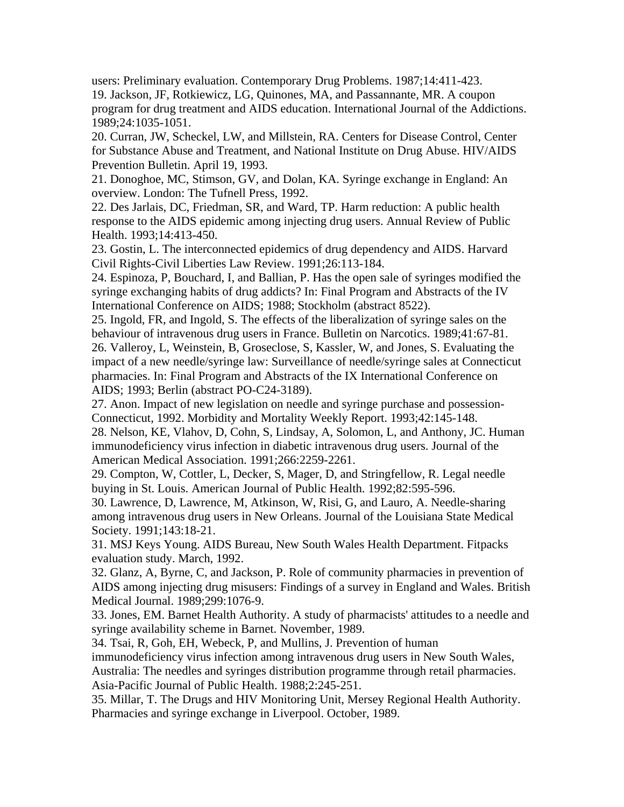users: Preliminary evaluation. Contemporary Drug Problems. 1987;14:411-423. 19. Jackson, JF, Rotkiewicz, LG, Quinones, MA, and Passannante, MR. A coupon program for drug treatment and AIDS education. International Journal of the Addictions. 1989;24:1035-1051.

20. Curran, JW, Scheckel, LW, and Millstein, RA. Centers for Disease Control, Center for Substance Abuse and Treatment, and National Institute on Drug Abuse. HIV/AIDS Prevention Bulletin. April 19, 1993.

21. Donoghoe, MC, Stimson, GV, and Dolan, KA. Syringe exchange in England: An overview. London: The Tufnell Press, 1992.

22. Des Jarlais, DC, Friedman, SR, and Ward, TP. Harm reduction: A public health response to the AIDS epidemic among injecting drug users. Annual Review of Public Health. 1993;14:413-450.

23. Gostin, L. The interconnected epidemics of drug dependency and AIDS. Harvard Civil Rights-Civil Liberties Law Review. 1991;26:113-184.

24. Espinoza, P, Bouchard, I, and Ballian, P. Has the open sale of syringes modified the syringe exchanging habits of drug addicts? In: Final Program and Abstracts of the IV International Conference on AIDS; 1988; Stockholm (abstract 8522).

25. Ingold, FR, and Ingold, S. The effects of the liberalization of syringe sales on the behaviour of intravenous drug users in France. Bulletin on Narcotics. 1989;41:67-81. 26. Valleroy, L, Weinstein, B, Groseclose, S, Kassler, W, and Jones, S. Evaluating the impact of a new needle/syringe law: Surveillance of needle/syringe sales at Connecticut pharmacies. In: Final Program and Abstracts of the IX International Conference on AIDS; 1993; Berlin (abstract PO-C24-3189).

27. Anon. Impact of new legislation on needle and syringe purchase and possession-Connecticut, 1992. Morbidity and Mortality Weekly Report. 1993;42:145-148.

28. Nelson, KE, Vlahov, D, Cohn, S, Lindsay, A, Solomon, L, and Anthony, JC. Human immunodeficiency virus infection in diabetic intravenous drug users. Journal of the American Medical Association. 1991;266:2259-2261.

29. Compton, W, Cottler, L, Decker, S, Mager, D, and Stringfellow, R. Legal needle buying in St. Louis. American Journal of Public Health. 1992;82:595-596.

30. Lawrence, D, Lawrence, M, Atkinson, W, Risi, G, and Lauro, A. Needle-sharing among intravenous drug users in New Orleans. Journal of the Louisiana State Medical Society. 1991;143:18-21.

31. MSJ Keys Young. AIDS Bureau, New South Wales Health Department. Fitpacks evaluation study. March, 1992.

32. Glanz, A, Byrne, C, and Jackson, P. Role of community pharmacies in prevention of AIDS among injecting drug misusers: Findings of a survey in England and Wales. British Medical Journal. 1989;299:1076-9.

33. Jones, EM. Barnet Health Authority. A study of pharmacists' attitudes to a needle and syringe availability scheme in Barnet. November, 1989.

34. Tsai, R, Goh, EH, Webeck, P, and Mullins, J. Prevention of human immunodeficiency virus infection among intravenous drug users in New South Wales, Australia: The needles and syringes distribution programme through retail pharmacies. Asia-Pacific Journal of Public Health. 1988;2:245-251.

35. Millar, T. The Drugs and HIV Monitoring Unit, Mersey Regional Health Authority. Pharmacies and syringe exchange in Liverpool. October, 1989.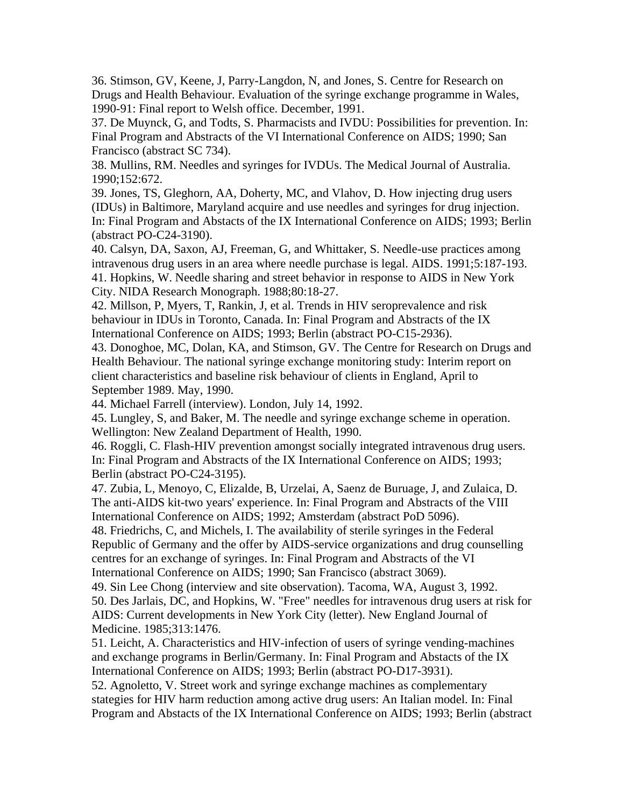36. Stimson, GV, Keene, J, Parry-Langdon, N, and Jones, S. Centre for Research on Drugs and Health Behaviour. Evaluation of the syringe exchange programme in Wales, 1990-91: Final report to Welsh office. December, 1991.

37. De Muynck, G, and Todts, S. Pharmacists and IVDU: Possibilities for prevention. In: Final Program and Abstracts of the VI International Conference on AIDS; 1990; San Francisco (abstract SC 734).

38. Mullins, RM. Needles and syringes for IVDUs. The Medical Journal of Australia. 1990;152:672.

39. Jones, TS, Gleghorn, AA, Doherty, MC, and Vlahov, D. How injecting drug users (IDUs) in Baltimore, Maryland acquire and use needles and syringes for drug injection. In: Final Program and Abstacts of the IX International Conference on AIDS; 1993; Berlin (abstract PO-C24-3190).

40. Calsyn, DA, Saxon, AJ, Freeman, G, and Whittaker, S. Needle-use practices among intravenous drug users in an area where needle purchase is legal. AIDS. 1991;5:187-193. 41. Hopkins, W. Needle sharing and street behavior in response to AIDS in New York City. NIDA Research Monograph. 1988;80:18-27.

42. Millson, P, Myers, T, Rankin, J, et al. Trends in HIV seroprevalence and risk behaviour in IDUs in Toronto, Canada. In: Final Program and Abstracts of the IX International Conference on AIDS; 1993; Berlin (abstract PO-C15-2936).

43. Donoghoe, MC, Dolan, KA, and Stimson, GV. The Centre for Research on Drugs and Health Behaviour. The national syringe exchange monitoring study: Interim report on client characteristics and baseline risk behaviour of clients in England, April to September 1989. May, 1990.

44. Michael Farrell (interview). London, July 14, 1992.

45. Lungley, S, and Baker, M. The needle and syringe exchange scheme in operation. Wellington: New Zealand Department of Health, 1990.

46. Roggli, C. Flash-HIV prevention amongst socially integrated intravenous drug users. In: Final Program and Abstracts of the IX International Conference on AIDS; 1993; Berlin (abstract PO-C24-3195).

47. Zubia, L, Menoyo, C, Elizalde, B, Urzelai, A, Saenz de Buruage, J, and Zulaica, D. The anti-AIDS kit-two years' experience. In: Final Program and Abstracts of the VIII International Conference on AIDS; 1992; Amsterdam (abstract PoD 5096).

48. Friedrichs, C, and Michels, I. The availability of sterile syringes in the Federal Republic of Germany and the offer by AIDS-service organizations and drug counselling centres for an exchange of syringes. In: Final Program and Abstracts of the VI International Conference on AIDS; 1990; San Francisco (abstract 3069).

49. Sin Lee Chong (interview and site observation). Tacoma, WA, August 3, 1992. 50. Des Jarlais, DC, and Hopkins, W. "Free" needles for intravenous drug users at risk for AIDS: Current developments in New York City (letter). New England Journal of Medicine. 1985;313:1476.

51. Leicht, A. Characteristics and HIV-infection of users of syringe vending-machines and exchange programs in Berlin/Germany. In: Final Program and Abstacts of the IX International Conference on AIDS; 1993; Berlin (abstract PO-D17-3931).

52. Agnoletto, V. Street work and syringe exchange machines as complementary stategies for HIV harm reduction among active drug users: An Italian model. In: Final Program and Abstacts of the IX International Conference on AIDS; 1993; Berlin (abstract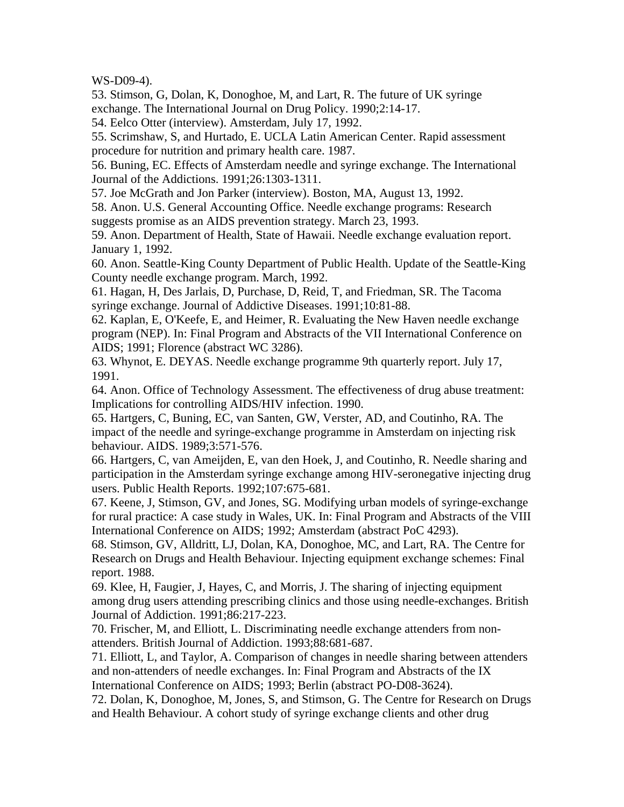WS-D09-4).

53. Stimson, G, Dolan, K, Donoghoe, M, and Lart, R. The future of UK syringe exchange. The International Journal on Drug Policy. 1990;2:14-17.

54. Eelco Otter (interview). Amsterdam, July 17, 1992.

55. Scrimshaw, S, and Hurtado, E. UCLA Latin American Center. Rapid assessment procedure for nutrition and primary health care. 1987.

56. Buning, EC. Effects of Amsterdam needle and syringe exchange. The International Journal of the Addictions. 1991;26:1303-1311.

57. Joe McGrath and Jon Parker (interview). Boston, MA, August 13, 1992.

58. Anon. U.S. General Accounting Office. Needle exchange programs: Research suggests promise as an AIDS prevention strategy. March 23, 1993.

59. Anon. Department of Health, State of Hawaii. Needle exchange evaluation report. January 1, 1992.

60. Anon. Seattle-King County Department of Public Health. Update of the Seattle-King County needle exchange program. March, 1992.

61. Hagan, H, Des Jarlais, D, Purchase, D, Reid, T, and Friedman, SR. The Tacoma syringe exchange. Journal of Addictive Diseases. 1991;10:81-88.

62. Kaplan, E, O'Keefe, E, and Heimer, R. Evaluating the New Haven needle exchange program (NEP). In: Final Program and Abstracts of the VII International Conference on AIDS; 1991; Florence (abstract WC 3286).

63. Whynot, E. DEYAS. Needle exchange programme 9th quarterly report. July 17, 1991.

64. Anon. Office of Technology Assessment. The effectiveness of drug abuse treatment: Implications for controlling AIDS/HIV infection. 1990.

65. Hartgers, C, Buning, EC, van Santen, GW, Verster, AD, and Coutinho, RA. The impact of the needle and syringe-exchange programme in Amsterdam on injecting risk behaviour. AIDS. 1989;3:571-576.

66. Hartgers, C, van Ameijden, E, van den Hoek, J, and Coutinho, R. Needle sharing and participation in the Amsterdam syringe exchange among HIV-seronegative injecting drug users. Public Health Reports. 1992;107:675-681.

67. Keene, J, Stimson, GV, and Jones, SG. Modifying urban models of syringe-exchange for rural practice: A case study in Wales, UK. In: Final Program and Abstracts of the VIII International Conference on AIDS; 1992; Amsterdam (abstract PoC 4293).

68. Stimson, GV, Alldritt, LJ, Dolan, KA, Donoghoe, MC, and Lart, RA. The Centre for Research on Drugs and Health Behaviour. Injecting equipment exchange schemes: Final report. 1988.

69. Klee, H, Faugier, J, Hayes, C, and Morris, J. The sharing of injecting equipment among drug users attending prescribing clinics and those using needle-exchanges. British Journal of Addiction. 1991;86:217-223.

70. Frischer, M, and Elliott, L. Discriminating needle exchange attenders from nonattenders. British Journal of Addiction. 1993;88:681-687.

71. Elliott, L, and Taylor, A. Comparison of changes in needle sharing between attenders and non-attenders of needle exchanges. In: Final Program and Abstracts of the IX International Conference on AIDS; 1993; Berlin (abstract PO-D08-3624).

72. Dolan, K, Donoghoe, M, Jones, S, and Stimson, G. The Centre for Research on Drugs and Health Behaviour. A cohort study of syringe exchange clients and other drug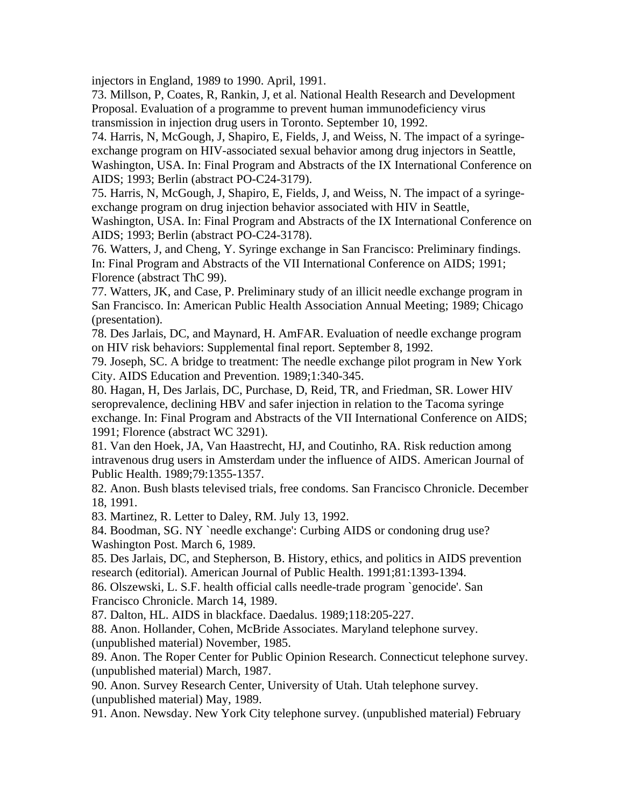injectors in England, 1989 to 1990. April, 1991.

73. Millson, P, Coates, R, Rankin, J, et al. National Health Research and Development Proposal. Evaluation of a programme to prevent human immunodeficiency virus transmission in injection drug users in Toronto. September 10, 1992.

74. Harris, N, McGough, J, Shapiro, E, Fields, J, and Weiss, N. The impact of a syringeexchange program on HIV-associated sexual behavior among drug injectors in Seattle, Washington, USA. In: Final Program and Abstracts of the IX International Conference on AIDS; 1993; Berlin (abstract PO-C24-3179).

75. Harris, N, McGough, J, Shapiro, E, Fields, J, and Weiss, N. The impact of a syringeexchange program on drug injection behavior associated with HIV in Seattle,

Washington, USA. In: Final Program and Abstracts of the IX International Conference on AIDS; 1993; Berlin (abstract PO-C24-3178).

76. Watters, J, and Cheng, Y. Syringe exchange in San Francisco: Preliminary findings. In: Final Program and Abstracts of the VII International Conference on AIDS; 1991; Florence (abstract ThC 99).

77. Watters, JK, and Case, P. Preliminary study of an illicit needle exchange program in San Francisco. In: American Public Health Association Annual Meeting; 1989; Chicago (presentation).

78. Des Jarlais, DC, and Maynard, H. AmFAR. Evaluation of needle exchange program on HIV risk behaviors: Supplemental final report. September 8, 1992.

79. Joseph, SC. A bridge to treatment: The needle exchange pilot program in New York City. AIDS Education and Prevention. 1989;1:340-345.

80. Hagan, H, Des Jarlais, DC, Purchase, D, Reid, TR, and Friedman, SR. Lower HIV seroprevalence, declining HBV and safer injection in relation to the Tacoma syringe exchange. In: Final Program and Abstracts of the VII International Conference on AIDS; 1991; Florence (abstract WC 3291).

81. Van den Hoek, JA, Van Haastrecht, HJ, and Coutinho, RA. Risk reduction among intravenous drug users in Amsterdam under the influence of AIDS. American Journal of Public Health. 1989;79:1355-1357.

82. Anon. Bush blasts televised trials, free condoms. San Francisco Chronicle. December 18, 1991.

83. Martinez, R. Letter to Daley, RM. July 13, 1992.

84. Boodman, SG. NY `needle exchange': Curbing AIDS or condoning drug use? Washington Post. March 6, 1989.

85. Des Jarlais, DC, and Stepherson, B. History, ethics, and politics in AIDS prevention research (editorial). American Journal of Public Health. 1991;81:1393-1394.

86. Olszewski, L. S.F. health official calls needle-trade program `genocide'. San Francisco Chronicle. March 14, 1989.

87. Dalton, HL. AIDS in blackface. Daedalus. 1989;118:205-227.

88. Anon. Hollander, Cohen, McBride Associates. Maryland telephone survey. (unpublished material) November, 1985.

89. Anon. The Roper Center for Public Opinion Research. Connecticut telephone survey. (unpublished material) March, 1987.

90. Anon. Survey Research Center, University of Utah. Utah telephone survey. (unpublished material) May, 1989.

91. Anon. Newsday. New York City telephone survey. (unpublished material) February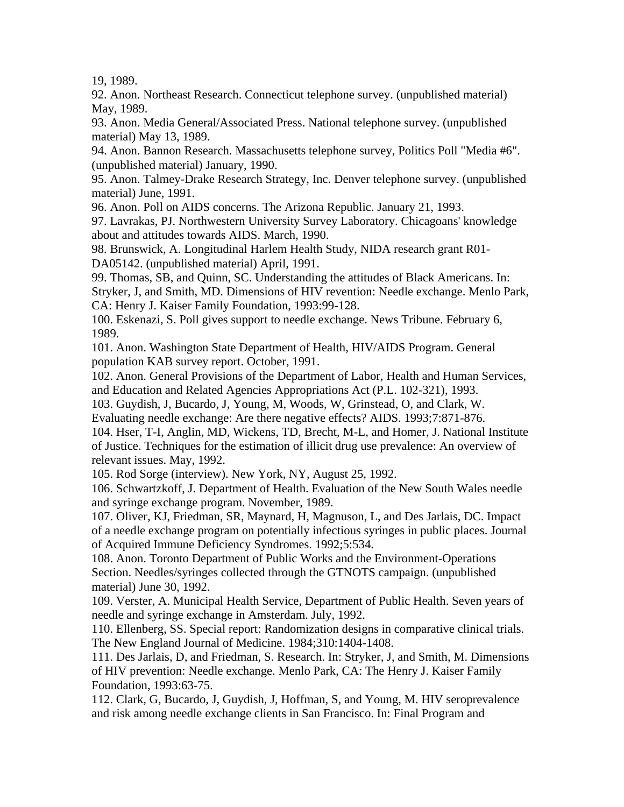19, 1989.

92. Anon. Northeast Research. Connecticut telephone survey. (unpublished material) May, 1989.

93. Anon. Media General/Associated Press. National telephone survey. (unpublished material) May 13, 1989.

94. Anon. Bannon Research. Massachusetts telephone survey, Politics Poll "Media #6". (unpublished material) January, 1990.

95. Anon. Talmey-Drake Research Strategy, Inc. Denver telephone survey. (unpublished material) June, 1991.

96. Anon. Poll on AIDS concerns. The Arizona Republic. January 21, 1993.

97. Lavrakas, PJ. Northwestern University Survey Laboratory. Chicagoans' knowledge about and attitudes towards AIDS. March, 1990.

98. Brunswick, A. Longitudinal Harlem Health Study, NIDA research grant R01- DA05142. (unpublished material) April, 1991.

99. Thomas, SB, and Quinn, SC. Understanding the attitudes of Black Americans. In: Stryker, J, and Smith, MD. Dimensions of HIV revention: Needle exchange. Menlo Park, CA: Henry J. Kaiser Family Foundation, 1993:99-128.

100. Eskenazi, S. Poll gives support to needle exchange. News Tribune. February 6, 1989.

101. Anon. Washington State Department of Health, HIV/AIDS Program. General population KAB survey report. October, 1991.

102. Anon. General Provisions of the Department of Labor, Health and Human Services, and Education and Related Agencies Appropriations Act (P.L. 102-321), 1993.

103. Guydish, J, Bucardo, J, Young, M, Woods, W, Grinstead, O, and Clark, W.

Evaluating needle exchange: Are there negative effects? AIDS. 1993;7:871-876.

104. Hser, T-I, Anglin, MD, Wickens, TD, Brecht, M-L, and Homer, J. National Institute of Justice. Techniques for the estimation of illicit drug use prevalence: An overview of relevant issues. May, 1992.

105. Rod Sorge (interview). New York, NY, August 25, 1992.

106. Schwartzkoff, J. Department of Health. Evaluation of the New South Wales needle and syringe exchange program. November, 1989.

107. Oliver, KJ, Friedman, SR, Maynard, H, Magnuson, L, and Des Jarlais, DC. Impact of a needle exchange program on potentially infectious syringes in public places. Journal of Acquired Immune Deficiency Syndromes. 1992;5:534.

108. Anon. Toronto Department of Public Works and the Environment-Operations Section. Needles/syringes collected through the GTNOTS campaign. (unpublished material) June 30, 1992.

109. Verster, A. Municipal Health Service, Department of Public Health. Seven years of needle and syringe exchange in Amsterdam. July, 1992.

110. Ellenberg, SS. Special report: Randomization designs in comparative clinical trials. The New England Journal of Medicine. 1984;310:1404-1408.

111. Des Jarlais, D, and Friedman, S. Research. In: Stryker, J, and Smith, M. Dimensions of HIV prevention: Needle exchange. Menlo Park, CA: The Henry J. Kaiser Family Foundation, 1993:63-75.

112. Clark, G, Bucardo, J, Guydish, J, Hoffman, S, and Young, M. HIV seroprevalence and risk among needle exchange clients in San Francisco. In: Final Program and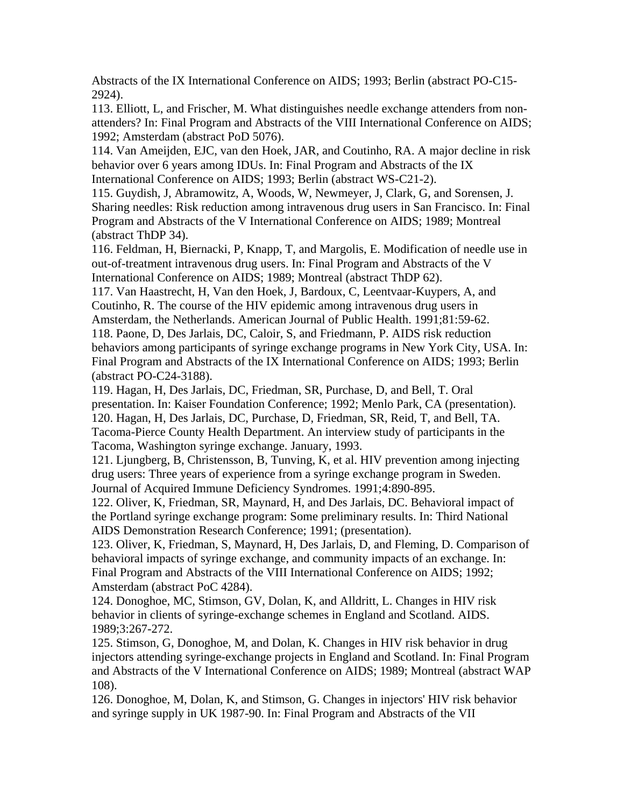Abstracts of the IX International Conference on AIDS; 1993; Berlin (abstract PO-C15- 2924).

113. Elliott, L, and Frischer, M. What distinguishes needle exchange attenders from nonattenders? In: Final Program and Abstracts of the VIII International Conference on AIDS; 1992; Amsterdam (abstract PoD 5076).

114. Van Ameijden, EJC, van den Hoek, JAR, and Coutinho, RA. A major decline in risk behavior over 6 years among IDUs. In: Final Program and Abstracts of the IX International Conference on AIDS; 1993; Berlin (abstract WS-C21-2).

115. Guydish, J, Abramowitz, A, Woods, W, Newmeyer, J, Clark, G, and Sorensen, J. Sharing needles: Risk reduction among intravenous drug users in San Francisco. In: Final Program and Abstracts of the V International Conference on AIDS; 1989; Montreal (abstract ThDP 34).

116. Feldman, H, Biernacki, P, Knapp, T, and Margolis, E. Modification of needle use in out-of-treatment intravenous drug users. In: Final Program and Abstracts of the V International Conference on AIDS; 1989; Montreal (abstract ThDP 62).

117. Van Haastrecht, H, Van den Hoek, J, Bardoux, C, Leentvaar-Kuypers, A, and Coutinho, R. The course of the HIV epidemic among intravenous drug users in Amsterdam, the Netherlands. American Journal of Public Health. 1991;81:59-62. 118. Paone, D, Des Jarlais, DC, Caloir, S, and Friedmann, P. AIDS risk reduction behaviors among participants of syringe exchange programs in New York City, USA. In: Final Program and Abstracts of the IX International Conference on AIDS; 1993; Berlin (abstract PO-C24-3188).

119. Hagan, H, Des Jarlais, DC, Friedman, SR, Purchase, D, and Bell, T. Oral presentation. In: Kaiser Foundation Conference; 1992; Menlo Park, CA (presentation). 120. Hagan, H, Des Jarlais, DC, Purchase, D, Friedman, SR, Reid, T, and Bell, TA. Tacoma-Pierce County Health Department. An interview study of participants in the Tacoma, Washington syringe exchange. January, 1993.

121. Ljungberg, B, Christensson, B, Tunving, K, et al. HIV prevention among injecting drug users: Three years of experience from a syringe exchange program in Sweden. Journal of Acquired Immune Deficiency Syndromes. 1991;4:890-895.

122. Oliver, K, Friedman, SR, Maynard, H, and Des Jarlais, DC. Behavioral impact of the Portland syringe exchange program: Some preliminary results. In: Third National AIDS Demonstration Research Conference; 1991; (presentation).

123. Oliver, K, Friedman, S, Maynard, H, Des Jarlais, D, and Fleming, D. Comparison of behavioral impacts of syringe exchange, and community impacts of an exchange. In: Final Program and Abstracts of the VIII International Conference on AIDS; 1992; Amsterdam (abstract PoC 4284).

124. Donoghoe, MC, Stimson, GV, Dolan, K, and Alldritt, L. Changes in HIV risk behavior in clients of syringe-exchange schemes in England and Scotland. AIDS. 1989;3:267-272.

125. Stimson, G, Donoghoe, M, and Dolan, K. Changes in HIV risk behavior in drug injectors attending syringe-exchange projects in England and Scotland. In: Final Program and Abstracts of the V International Conference on AIDS; 1989; Montreal (abstract WAP 108).

126. Donoghoe, M, Dolan, K, and Stimson, G. Changes in injectors' HIV risk behavior and syringe supply in UK 1987-90. In: Final Program and Abstracts of the VII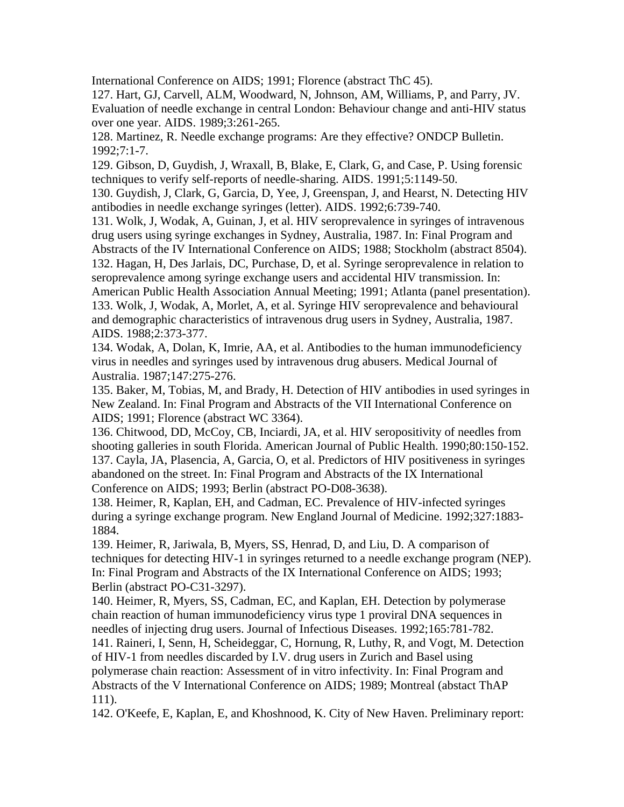International Conference on AIDS; 1991; Florence (abstract ThC 45).

127. Hart, GJ, Carvell, ALM, Woodward, N, Johnson, AM, Williams, P, and Parry, JV. Evaluation of needle exchange in central London: Behaviour change and anti-HIV status over one year. AIDS. 1989;3:261-265.

128. Martinez, R. Needle exchange programs: Are they effective? ONDCP Bulletin. 1992;7:1-7.

129. Gibson, D, Guydish, J, Wraxall, B, Blake, E, Clark, G, and Case, P. Using forensic techniques to verify self-reports of needle-sharing. AIDS. 1991;5:1149-50.

130. Guydish, J, Clark, G, Garcia, D, Yee, J, Greenspan, J, and Hearst, N. Detecting HIV antibodies in needle exchange syringes (letter). AIDS. 1992;6:739-740.

131. Wolk, J, Wodak, A, Guinan, J, et al. HIV seroprevalence in syringes of intravenous drug users using syringe exchanges in Sydney, Australia, 1987. In: Final Program and Abstracts of the IV International Conference on AIDS; 1988; Stockholm (abstract 8504). 132. Hagan, H, Des Jarlais, DC, Purchase, D, et al. Syringe seroprevalence in relation to seroprevalence among syringe exchange users and accidental HIV transmission. In: American Public Health Association Annual Meeting; 1991; Atlanta (panel presentation). 133. Wolk, J, Wodak, A, Morlet, A, et al. Syringe HIV seroprevalence and behavioural and demographic characteristics of intravenous drug users in Sydney, Australia, 1987. AIDS. 1988;2:373-377.

134. Wodak, A, Dolan, K, Imrie, AA, et al. Antibodies to the human immunodeficiency virus in needles and syringes used by intravenous drug abusers. Medical Journal of Australia. 1987;147:275-276.

135. Baker, M, Tobias, M, and Brady, H. Detection of HIV antibodies in used syringes in New Zealand. In: Final Program and Abstracts of the VII International Conference on AIDS; 1991; Florence (abstract WC 3364).

136. Chitwood, DD, McCoy, CB, Inciardi, JA, et al. HIV seropositivity of needles from shooting galleries in south Florida. American Journal of Public Health. 1990;80:150-152. 137. Cayla, JA, Plasencia, A, Garcia, O, et al. Predictors of HIV positiveness in syringes abandoned on the street. In: Final Program and Abstracts of the IX International Conference on AIDS; 1993; Berlin (abstract PO-D08-3638).

138. Heimer, R, Kaplan, EH, and Cadman, EC. Prevalence of HIV-infected syringes during a syringe exchange program. New England Journal of Medicine. 1992;327:1883- 1884.

139. Heimer, R, Jariwala, B, Myers, SS, Henrad, D, and Liu, D. A comparison of techniques for detecting HIV-1 in syringes returned to a needle exchange program (NEP). In: Final Program and Abstracts of the IX International Conference on AIDS; 1993; Berlin (abstract PO-C31-3297).

140. Heimer, R, Myers, SS, Cadman, EC, and Kaplan, EH. Detection by polymerase chain reaction of human immunodeficiency virus type 1 proviral DNA sequences in needles of injecting drug users. Journal of Infectious Diseases. 1992;165:781-782.

141. Raineri, I, Senn, H, Scheideggar, C, Hornung, R, Luthy, R, and Vogt, M. Detection of HIV-1 from needles discarded by I.V. drug users in Zurich and Basel using polymerase chain reaction: Assessment of in vitro infectivity. In: Final Program and Abstracts of the V International Conference on AIDS; 1989; Montreal (abstact ThAP 111).

142. O'Keefe, E, Kaplan, E, and Khoshnood, K. City of New Haven. Preliminary report: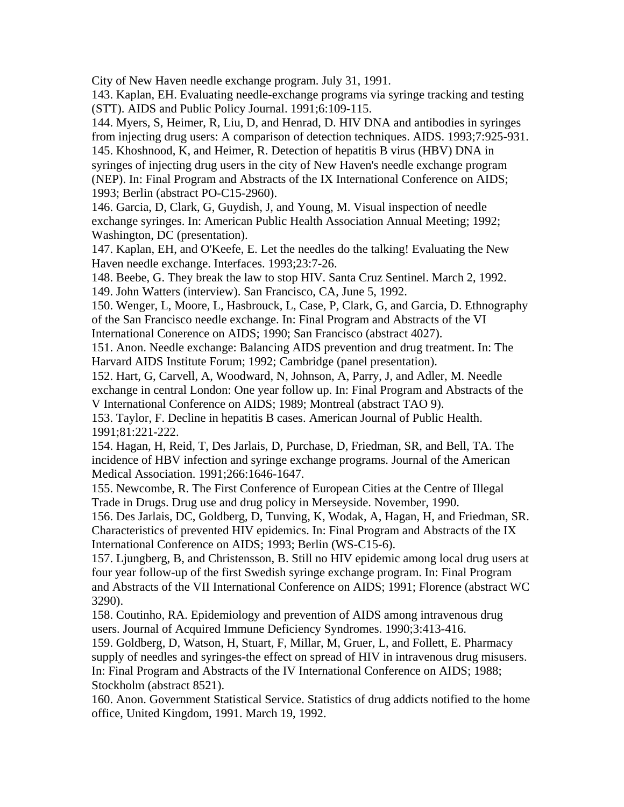City of New Haven needle exchange program. July 31, 1991.

143. Kaplan, EH. Evaluating needle-exchange programs via syringe tracking and testing (STT). AIDS and Public Policy Journal. 1991;6:109-115.

144. Myers, S, Heimer, R, Liu, D, and Henrad, D. HIV DNA and antibodies in syringes from injecting drug users: A comparison of detection techniques. AIDS. 1993;7:925-931. 145. Khoshnood, K, and Heimer, R. Detection of hepatitis B virus (HBV) DNA in syringes of injecting drug users in the city of New Haven's needle exchange program (NEP). In: Final Program and Abstracts of the IX International Conference on AIDS; 1993; Berlin (abstract PO-C15-2960).

146. Garcia, D, Clark, G, Guydish, J, and Young, M. Visual inspection of needle exchange syringes. In: American Public Health Association Annual Meeting; 1992; Washington, DC (presentation).

147. Kaplan, EH, and O'Keefe, E. Let the needles do the talking! Evaluating the New Haven needle exchange. Interfaces. 1993;23:7-26.

148. Beebe, G. They break the law to stop HIV. Santa Cruz Sentinel. March 2, 1992.

149. John Watters (interview). San Francisco, CA, June 5, 1992.

150. Wenger, L, Moore, L, Hasbrouck, L, Case, P, Clark, G, and Garcia, D. Ethnography of the San Francisco needle exchange. In: Final Program and Abstracts of the VI International Conerence on AIDS; 1990; San Francisco (abstract 4027).

151. Anon. Needle exchange: Balancing AIDS prevention and drug treatment. In: The Harvard AIDS Institute Forum; 1992; Cambridge (panel presentation).

152. Hart, G, Carvell, A, Woodward, N, Johnson, A, Parry, J, and Adler, M. Needle exchange in central London: One year follow up. In: Final Program and Abstracts of the V International Conference on AIDS; 1989; Montreal (abstract TAO 9).

153. Taylor, F. Decline in hepatitis B cases. American Journal of Public Health. 1991;81:221-222.

154. Hagan, H, Reid, T, Des Jarlais, D, Purchase, D, Friedman, SR, and Bell, TA. The incidence of HBV infection and syringe exchange programs. Journal of the American Medical Association. 1991;266:1646-1647.

155. Newcombe, R. The First Conference of European Cities at the Centre of Illegal Trade in Drugs. Drug use and drug policy in Merseyside. November, 1990.

156. Des Jarlais, DC, Goldberg, D, Tunving, K, Wodak, A, Hagan, H, and Friedman, SR. Characteristics of prevented HIV epidemics. In: Final Program and Abstracts of the IX International Conference on AIDS; 1993; Berlin (WS-C15-6).

157. Ljungberg, B, and Christensson, B. Still no HIV epidemic among local drug users at four year follow-up of the first Swedish syringe exchange program. In: Final Program and Abstracts of the VII International Conference on AIDS; 1991; Florence (abstract WC 3290).

158. Coutinho, RA. Epidemiology and prevention of AIDS among intravenous drug users. Journal of Acquired Immune Deficiency Syndromes. 1990;3:413-416.

159. Goldberg, D, Watson, H, Stuart, F, Millar, M, Gruer, L, and Follett, E. Pharmacy supply of needles and syringes-the effect on spread of HIV in intravenous drug misusers. In: Final Program and Abstracts of the IV International Conference on AIDS; 1988; Stockholm (abstract 8521).

160. Anon. Government Statistical Service. Statistics of drug addicts notified to the home office, United Kingdom, 1991. March 19, 1992.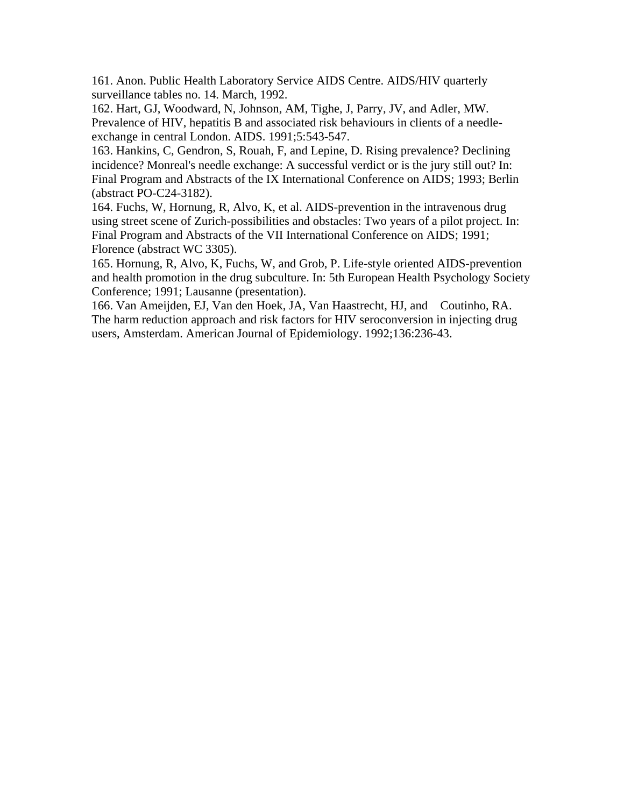161. Anon. Public Health Laboratory Service AIDS Centre. AIDS/HIV quarterly surveillance tables no. 14. March, 1992.

162. Hart, GJ, Woodward, N, Johnson, AM, Tighe, J, Parry, JV, and Adler, MW. Prevalence of HIV, hepatitis B and associated risk behaviours in clients of a needleexchange in central London. AIDS. 1991;5:543-547.

163. Hankins, C, Gendron, S, Rouah, F, and Lepine, D. Rising prevalence? Declining incidence? Monreal's needle exchange: A successful verdict or is the jury still out? In: Final Program and Abstracts of the IX International Conference on AIDS; 1993; Berlin (abstract PO-C24-3182).

164. Fuchs, W, Hornung, R, Alvo, K, et al. AIDS-prevention in the intravenous drug using street scene of Zurich-possibilities and obstacles: Two years of a pilot project. In: Final Program and Abstracts of the VII International Conference on AIDS; 1991; Florence (abstract WC 3305).

165. Hornung, R, Alvo, K, Fuchs, W, and Grob, P. Life-style oriented AIDS-prevention and health promotion in the drug subculture. In: 5th European Health Psychology Society Conference; 1991; Lausanne (presentation).

166. Van Ameijden, EJ, Van den Hoek, JA, Van Haastrecht, HJ, and Coutinho, RA. The harm reduction approach and risk factors for HIV seroconversion in injecting drug users, Amsterdam. American Journal of Epidemiology. 1992;136:236-43.